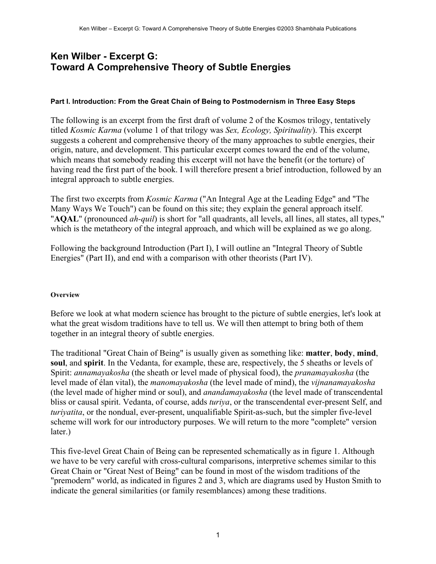# **Ken Wilber - Excerpt G: Toward A Comprehensive Theory of Subtle Energies**

#### **Part I. Introduction: From the Great Chain of Being to Postmodernism in Three Easy Steps**

The following is an excerpt from the first draft of volume 2 of the Kosmos trilogy, tentatively titled *Kosmic Karma* (volume 1 of that trilogy was *Sex, Ecology, Spirituality*). This excerpt suggests a coherent and comprehensive theory of the many approaches to subtle energies, their origin, nature, and development. This particular excerpt comes toward the end of the volume, which means that somebody reading this excerpt will not have the benefit (or the torture) of having read the first part of the book. I will therefore present a brief introduction, followed by an integral approach to subtle energies.

The first two excerpts from *Kosmic Karma* ("An Integral Age at the Leading Edge" and "The Many Ways We Touch") can be found on this site; they explain the general approach itself. "**AQAL**" (pronounced *ah-quil*) is short for "all quadrants, all levels, all lines, all states, all types," which is the metatheory of the integral approach, and which will be explained as we go along.

Following the background Introduction (Part I), I will outline an "Integral Theory of Subtle Energies" (Part II), and end with a comparison with other theorists (Part IV).

#### **Overview**

Before we look at what modern science has brought to the picture of subtle energies, let's look at what the great wisdom traditions have to tell us. We will then attempt to bring both of them together in an integral theory of subtle energies.

The traditional "Great Chain of Being" is usually given as something like: **matter**, **body**, **mind**, **soul**, and **spirit**. In the Vedanta, for example, these are, respectively, the 5 sheaths or levels of Spirit: *annamayakosha* (the sheath or level made of physical food), the *pranamayakosha* (the level made of élan vital), the *manomayakosha* (the level made of mind), the *vijnanamayakosha*  (the level made of higher mind or soul), and *anandamayakosha* (the level made of transcendental bliss or causal spirit. Vedanta, of course, adds *turiya*, or the transcendental ever-present Self, and *turiyatita*, or the nondual, ever-present, unqualifiable Spirit-as-such, but the simpler five-level scheme will work for our introductory purposes. We will return to the more "complete" version later.)

This five-level Great Chain of Being can be represented schematically as in figure 1. Although we have to be very careful with cross-cultural comparisons, interpretive schemes similar to this Great Chain or "Great Nest of Being" can be found in most of the wisdom traditions of the "premodern" world, as indicated in figures 2 and 3, which are diagrams used by Huston Smith to indicate the general similarities (or family resemblances) among these traditions.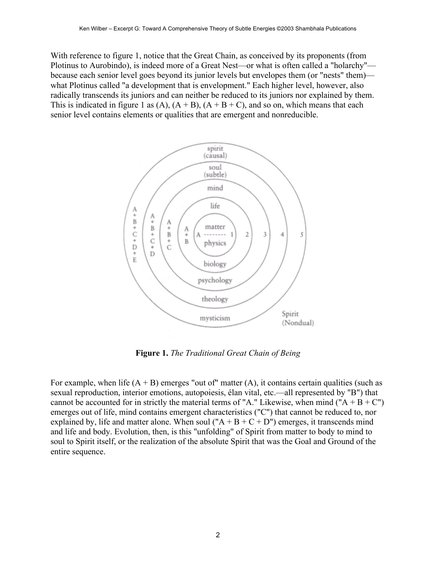With reference to figure 1, notice that the Great Chain, as conceived by its proponents (from Plotinus to Aurobindo), is indeed more of a Great Nest—or what is often called a "holarchy" because each senior level goes beyond its junior levels but envelopes them (or "nests" them) what Plotinus called "a development that is envelopment." Each higher level, however, also radically transcends its juniors and can neither be reduced to its juniors nor explained by them. This is indicated in figure 1 as  $(A)$ ,  $(A + B)$ ,  $(A + B + C)$ , and so on, which means that each senior level contains elements or qualities that are emergent and nonreducible.



**Figure 1.** *The Traditional Great Chain of Being*

For example, when life  $(A + B)$  emerges "out of" matter  $(A)$ , it contains certain qualities (such as sexual reproduction, interior emotions, autopoiesis, élan vital, etc.—all represented by "B") that cannot be accounted for in strictly the material terms of "A." Likewise, when mind (" $A + B + C$ ") emerges out of life, mind contains emergent characteristics ("C") that cannot be reduced to, nor explained by, life and matter alone. When soul (" $A + B + C + D$ ") emerges, it transcends mind and life and body. Evolution, then, is this "unfolding" of Spirit from matter to body to mind to soul to Spirit itself, or the realization of the absolute Spirit that was the Goal and Ground of the entire sequence.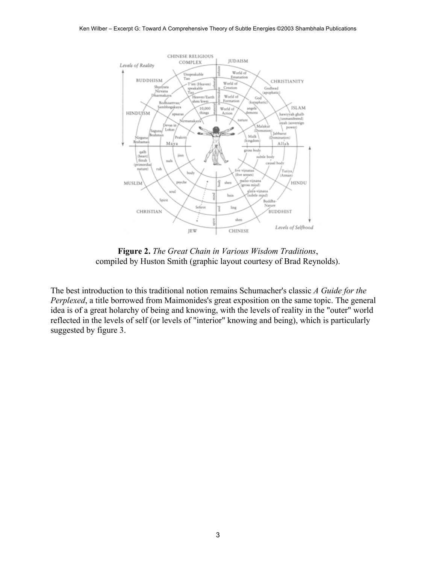

**Figure 2.** *The Great Chain in Various Wisdom Traditions*, compiled by Huston Smith (graphic layout courtesy of Brad Reynolds).

The best introduction to this traditional notion remains Schumacher's classic *A Guide for the Perplexed*, a title borrowed from Maimonides's great exposition on the same topic. The general idea is of a great holarchy of being and knowing, with the levels of reality in the "outer" world reflected in the levels of self (or levels of "interior" knowing and being), which is particularly suggested by figure 3.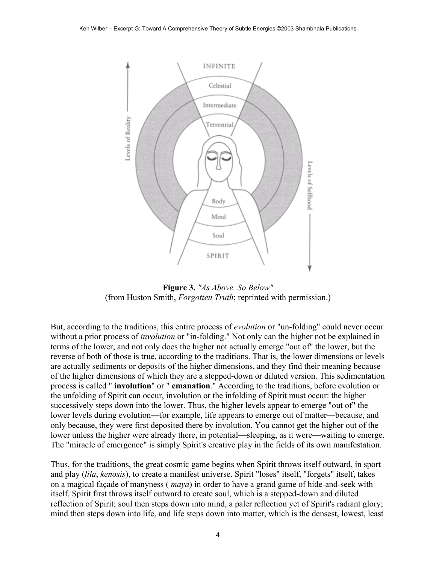

**Figure 3.** *"As Above, So Below"* (from Huston Smith, *Forgotten Truth*; reprinted with permission.)

But, according to the traditions, this entire process of *evolution* or "un-folding" could never occur without a prior process of *involution* or "in-folding." Not only can the higher not be explained in terms of the lower, and not only does the higher not actually emerge "out of" the lower, but the reverse of both of those is true, according to the traditions. That is, the lower dimensions or levels are actually sediments or deposits of the higher dimensions, and they find their meaning because of the higher dimensions of which they are a stepped-down or diluted version. This sedimentation process is called " **involution**" or " **emanation**." According to the traditions, before evolution or the unfolding of Spirit can occur, involution or the infolding of Spirit must occur: the higher successively steps down into the lower. Thus, the higher levels appear to emerge "out of" the lower levels during evolution—for example, life appears to emerge out of matter—because, and only because, they were first deposited there by involution. You cannot get the higher out of the lower unless the higher were already there, in potential—sleeping, as it were—waiting to emerge. The "miracle of emergence" is simply Spirit's creative play in the fields of its own manifestation.

Thus, for the traditions, the great cosmic game begins when Spirit throws itself outward, in sport and play (*lila*, *kenosis*), to create a manifest universe. Spirit "loses" itself, "forgets" itself, takes on a magical façade of manyness ( *maya*) in order to have a grand game of hide-and-seek with itself. Spirit first throws itself outward to create soul, which is a stepped-down and diluted reflection of Spirit; soul then steps down into mind, a paler reflection yet of Spirit's radiant glory; mind then steps down into life, and life steps down into matter, which is the densest, lowest, least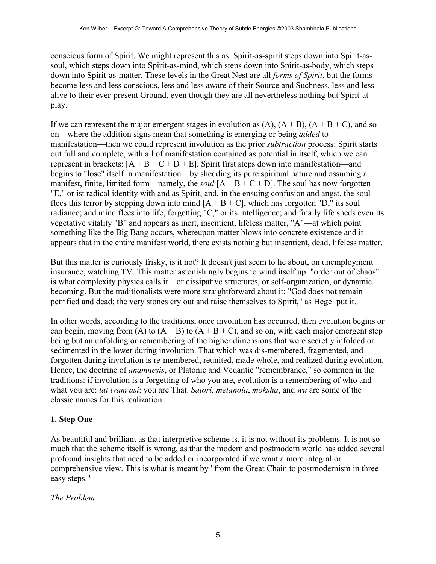conscious form of Spirit. We might represent this as: Spirit-as-spirit steps down into Spirit-assoul, which steps down into Spirit-as-mind, which steps down into Spirit-as-body, which steps down into Spirit-as-matter. These levels in the Great Nest are all *forms of Spirit*, but the forms become less and less conscious, less and less aware of their Source and Suchness, less and less alive to their ever-present Ground, even though they are all nevertheless nothing but Spirit-atplay.

If we can represent the major emergent stages in evolution as  $(A)$ ,  $(A + B)$ ,  $(A + B + C)$ , and so on—where the addition signs mean that something is emerging or being *added* to manifestation—then we could represent involution as the prior *subtraction* process: Spirit starts out full and complete, with all of manifestation contained as potential in itself, which we can represent in brackets:  $[A + B + C + D + E]$ . Spirit first steps down into manifestation—and begins to "lose" itself in manifestation—by shedding its pure spiritual nature and assuming a manifest, finite, limited form—namely, the *soul*  $[A + B + C + D]$ . The soul has now forgotten "E," or ist radical identity with and as Spirit, and, in the ensuing confusion and angst, the soul flees this terror by stepping down into mind  $[A + B + C]$ , which has forgotten "D," its soul radiance; and mind flees into life, forgetting "C," or its intelligence; and finally life sheds even its vegetative vitality "B" and appears as inert, insentient, lifeless matter, "A"—at which point something like the Big Bang occurs, whereupon matter blows into concrete existence and it appears that in the entire manifest world, there exists nothing but insentient, dead, lifeless matter.

But this matter is curiously frisky, is it not? It doesn't just seem to lie about, on unemployment insurance, watching TV. This matter astonishingly begins to wind itself up: "order out of chaos" is what complexity physics calls it—or dissipative structures, or self-organization, or dynamic becoming. But the traditionalists were more straightforward about it: "God does not remain petrified and dead; the very stones cry out and raise themselves to Spirit," as Hegel put it.

In other words, according to the traditions, once involution has occurred, then evolution begins or can begin, moving from (A) to  $(A + B)$  to  $(A + B + C)$ , and so on, with each major emergent step being but an unfolding or remembering of the higher dimensions that were secretly infolded or sedimented in the lower during involution. That which was dis-membered, fragmented, and forgotten during involution is re-membered, reunited, made whole, and realized during evolution. Hence, the doctrine of *anamnesis*, or Platonic and Vedantic "remembrance," so common in the traditions: if involution is a forgetting of who you are, evolution is a remembering of who and what you are: *tat tvam asi*: you are That. *Satori*, *metanoia*, *moksha*, and *wu* are some of the classic names for this realization.

## **1. Step One**

As beautiful and brilliant as that interpretive scheme is, it is not without its problems. It is not so much that the scheme itself is wrong, as that the modern and postmodern world has added several profound insights that need to be added or incorporated if we want a more integral or comprehensive view. This is what is meant by "from the Great Chain to postmodernism in three easy steps."

## *The Problem*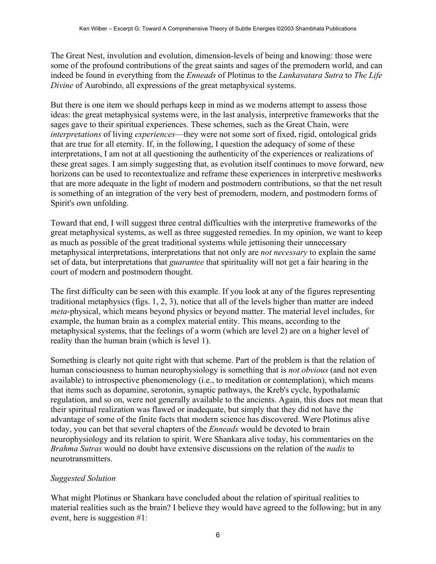The Great Nest, involution and evolution, dimension-levels of being and knowing: those were some of the profound contributions of the great saints and sages of the premodern world, and can indeed be found in everything from the *Enneads* of Plotinus to the *Lankavatara Sutra* to *The Life Divine* of Aurobindo, all expressions of the great metaphysical systems.

But there is one item we should perhaps keep in mind as we moderns attempt to assess those ideas: the great metaphysical systems were, in the last analysis, interpretive frameworks that the sages gave to their spiritual experiences. These schemes, such as the Great Chain, were *interpretations* of living *experiences*—they were not some sort of fixed, rigid, ontological grids that are true for all eternity. If, in the following, I question the adequacy of some of these interpretations, I am not at all questioning the authenticity of the experiences or realizations of these great sages. I am simply suggesting that, as evolution itself continues to move forward, new horizons can be used to recontextualize and reframe these experiences in interpretive meshworks that are more adequate in the light of modern and postmodern contributions, so that the net result is something of an integration of the very best of premodern, modern, and postmodern forms of Spirit's own unfolding.

Toward that end, I will suggest three central difficulties with the interpretive frameworks of the great metaphysical systems, as well as three suggested remedies. In my opinion, we want to keep as much as possible of the great traditional systems while jettisoning their unnecessary metaphysical interpretations, interpretations that not only are *not necessary* to explain the same set of data, but interpretations that *guarantee* that spirituality will not get a fair hearing in the court of modern and postmodern thought.

The first difficulty can be seen with this example. If you look at any of the figures representing traditional metaphysics (figs. 1, 2, 3), notice that all of the levels higher than matter are indeed *meta*-physical, which means beyond physics or beyond matter. The material level includes, for example, the human brain as a complex material entity. This means, according to the metaphysical systems, that the feelings of a worm (which are level 2) are on a higher level of reality than the human brain (which is level 1).

Something is clearly not quite right with that scheme. Part of the problem is that the relation of human consciousness to human neurophysiology is something that is *not obvious* (and not even available) to introspective phenomenology (i.e., to meditation or contemplation), which means that items such as dopamine, serotonin, synaptic pathways, the Kreb's cycle, hypothalamic regulation, and so on, were not generally available to the ancients. Again, this does not mean that their spiritual realization was flawed or inadequate, but simply that they did not have the advantage of some of the finite facts that modern science has discovered. Were Plotinus alive today, you can bet that several chapters of the *Enneads* would be devoted to brain neurophysiology and its relation to spirit. Were Shankara alive today, his commentaries on the *Brahma Sutras* would no doubt have extensive discussions on the relation of the *nadis* to neurotransmitters.

## *Suggested Solution*

What might Plotinus or Shankara have concluded about the relation of spiritual realities to material realities such as the brain? I believe they would have agreed to the following; but in any event, here is suggestion #1: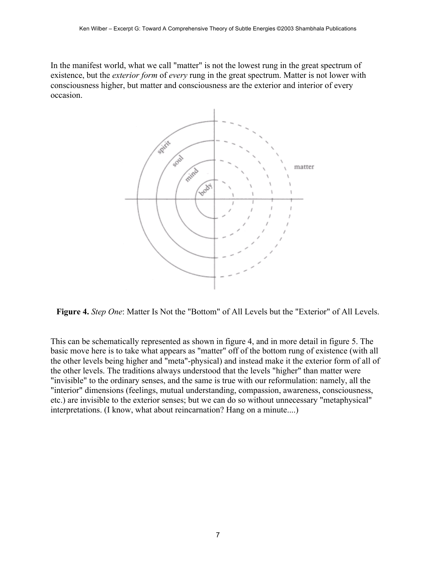In the manifest world, what we call "matter" is not the lowest rung in the great spectrum of existence, but the *exterior form* of *every* rung in the great spectrum. Matter is not lower with consciousness higher, but matter and consciousness are the exterior and interior of every occasion.



**Figure 4.** *Step One*: Matter Is Not the "Bottom" of All Levels but the "Exterior" of All Levels.

This can be schematically represented as shown in figure 4, and in more detail in figure 5. The basic move here is to take what appears as "matter" off of the bottom rung of existence (with all the other levels being higher and "meta"-physical) and instead make it the exterior form of all of the other levels. The traditions always understood that the levels "higher" than matter were "invisible" to the ordinary senses, and the same is true with our reformulation: namely, all the "interior" dimensions (feelings, mutual understanding, compassion, awareness, consciousness, etc.) are invisible to the exterior senses; but we can do so without unnecessary "metaphysical" interpretations. (I know, what about reincarnation? Hang on a minute....)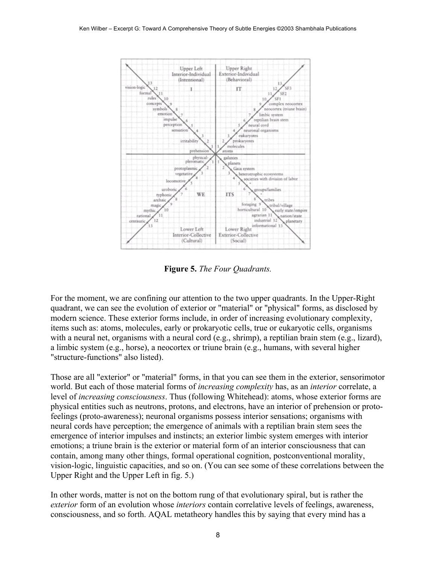

**Figure 5.** *The Four Quadrants.*

For the moment, we are confining our attention to the two upper quadrants. In the Upper-Right quadrant, we can see the evolution of exterior or "material" or "physical" forms, as disclosed by modern science. These exterior forms include, in order of increasing evolutionary complexity, items such as: atoms, molecules, early or prokaryotic cells, true or eukaryotic cells, organisms with a neural net, organisms with a neural cord (e.g., shrimp), a reptilian brain stem (e.g., lizard), a limbic system (e.g., horse), a neocortex or triune brain (e.g., humans, with several higher "structure-functions" also listed).

Those are all "exterior" or "material" forms, in that you can see them in the exterior, sensorimotor world. But each of those material forms of *increasing complexity* has, as an *interior* correlate, a level of *increasing consciousness*. Thus (following Whitehead): atoms, whose exterior forms are physical entities such as neutrons, protons, and electrons, have an interior of prehension or protofeelings (proto-awareness); neuronal organisms possess interior sensations; organisms with neural cords have perception; the emergence of animals with a reptilian brain stem sees the emergence of interior impulses and instincts; an exterior limbic system emerges with interior emotions; a triune brain is the exterior or material form of an interior consciousness that can contain, among many other things, formal operational cognition, postconventional morality, vision-logic, linguistic capacities, and so on. (You can see some of these correlations between the Upper Right and the Upper Left in fig. 5.)

In other words, matter is not on the bottom rung of that evolutionary spiral, but is rather the *exterior* form of an evolution whose *interiors* contain correlative levels of feelings, awareness, consciousness, and so forth. AQAL metatheory handles this by saying that every mind has a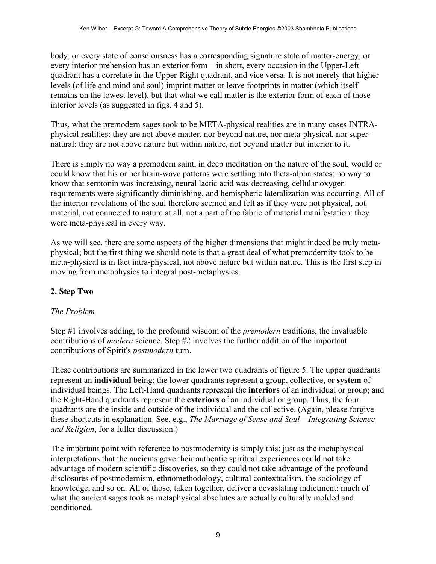body, or every state of consciousness has a corresponding signature state of matter-energy, or every interior prehension has an exterior form—in short, every occasion in the Upper-Left quadrant has a correlate in the Upper-Right quadrant, and vice versa. It is not merely that higher levels (of life and mind and soul) imprint matter or leave footprints in matter (which itself remains on the lowest level), but that what we call matter is the exterior form of each of those interior levels (as suggested in figs. 4 and 5).

Thus, what the premodern sages took to be META-physical realities are in many cases INTRAphysical realities: they are not above matter, nor beyond nature, nor meta-physical, nor supernatural: they are not above nature but within nature, not beyond matter but interior to it.

There is simply no way a premodern saint, in deep meditation on the nature of the soul, would or could know that his or her brain-wave patterns were settling into theta-alpha states; no way to know that serotonin was increasing, neural lactic acid was decreasing, cellular oxygen requirements were significantly diminishing, and hemispheric lateralization was occurring. All of the interior revelations of the soul therefore seemed and felt as if they were not physical, not material, not connected to nature at all, not a part of the fabric of material manifestation: they were meta-physical in every way.

As we will see, there are some aspects of the higher dimensions that might indeed be truly metaphysical; but the first thing we should note is that a great deal of what premodernity took to be meta-physical is in fact intra-physical, not above nature but within nature. This is the first step in moving from metaphysics to integral post-metaphysics.

## **2. Step Two**

## *The Problem*

Step #1 involves adding, to the profound wisdom of the *premodern* traditions, the invaluable contributions of *modern* science. Step #2 involves the further addition of the important contributions of Spirit's *postmodern* turn.

These contributions are summarized in the lower two quadrants of figure 5. The upper quadrants represent an **individual** being; the lower quadrants represent a group, collective, or **system** of individual beings. The Left-Hand quadrants represent the **interiors** of an individual or group; and the Right-Hand quadrants represent the **exteriors** of an individual or group. Thus, the four quadrants are the inside and outside of the individual and the collective. (Again, please forgive these shortcuts in explanation. See, e.g., *The Marriage of Sense and Soul*—*Integrating Science and Religion*, for a fuller discussion.)

The important point with reference to postmodernity is simply this: just as the metaphysical interpretations that the ancients gave their authentic spiritual experiences could not take advantage of modern scientific discoveries, so they could not take advantage of the profound disclosures of postmodernism, ethnomethodology, cultural contextualism, the sociology of knowledge, and so on. All of those, taken together, deliver a devastating indictment: much of what the ancient sages took as metaphysical absolutes are actually culturally molded and conditioned.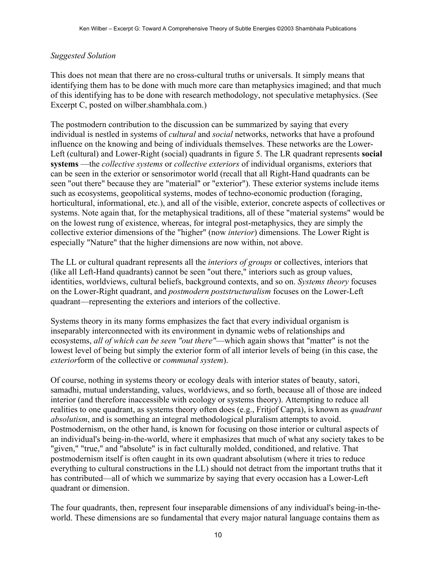#### *Suggested Solution*

This does not mean that there are no cross-cultural truths or universals. It simply means that identifying them has to be done with much more care than metaphysics imagined; and that much of this identifying has to be done with research methodology, not speculative metaphysics. (See Excerpt C, posted on wilber.shambhala.com.)

The postmodern contribution to the discussion can be summarized by saying that every individual is nestled in systems of *cultural* and *social* networks, networks that have a profound influence on the knowing and being of individuals themselves. These networks are the Lower-Left (cultural) and Lower-Right (social) quadrants in figure 5. The LR quadrant represents **social systems** —the *collective systems* or *collective exteriors* of individual organisms, exteriors that can be seen in the exterior or sensorimotor world (recall that all Right-Hand quadrants can be seen "out there" because they are "material" or "exterior"). These exterior systems include items such as ecosystems, geopolitical systems, modes of techno-economic production (foraging, horticultural, informational, etc.), and all of the visible, exterior, concrete aspects of collectives or systems. Note again that, for the metaphysical traditions, all of these "material systems" would be on the lowest rung of existence, whereas, for integral post-metaphysics, they are simply the collective exterior dimensions of the "higher" (now *interior*) dimensions. The Lower Right is especially "Nature" that the higher dimensions are now within, not above.

The LL or cultural quadrant represents all the *interiors of groups* or collectives, interiors that (like all Left-Hand quadrants) cannot be seen "out there," interiors such as group values, identities, worldviews, cultural beliefs, background contexts, and so on. *Systems theory* focuses on the Lower-Right quadrant, and *postmodern poststructuralism* focuses on the Lower-Left quadrant—representing the exteriors and interiors of the collective.

Systems theory in its many forms emphasizes the fact that every individual organism is inseparably interconnected with its environment in dynamic webs of relationships and ecosystems, *all of which can be seen "out there"*—which again shows that "matter" is not the lowest level of being but simply the exterior form of all interior levels of being (in this case, the *exterior*form of the collective or *communal system*).

Of course, nothing in systems theory or ecology deals with interior states of beauty, satori, samadhi, mutual understanding, values, worldviews, and so forth, because all of those are indeed interior (and therefore inaccessible with ecology or systems theory). Attempting to reduce all realities to one quadrant, as systems theory often does (e.g., Fritjof Capra), is known as *quadrant absolutism*, and is something an integral methodological pluralism attempts to avoid. Postmodernism, on the other hand, is known for focusing on those interior or cultural aspects of an individual's being-in-the-world, where it emphasizes that much of what any society takes to be "given," "true," and "absolute" is in fact culturally molded, conditioned, and relative. That postmodernism itself is often caught in its own quadrant absolutism (where it tries to reduce everything to cultural constructions in the LL) should not detract from the important truths that it has contributed—all of which we summarize by saying that every occasion has a Lower-Left quadrant or dimension.

The four quadrants, then, represent four inseparable dimensions of any individual's being-in-theworld. These dimensions are so fundamental that every major natural language contains them as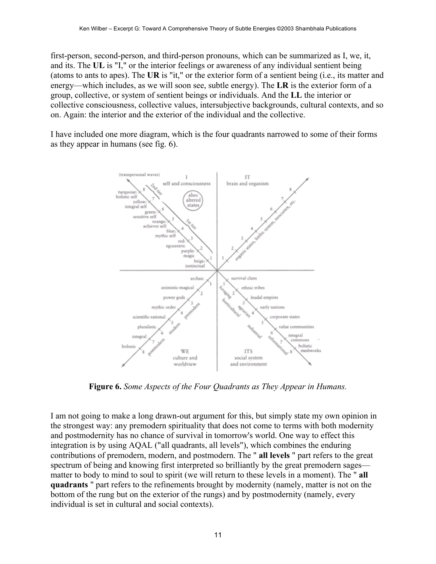first-person, second-person, and third-person pronouns, which can be summarized as I, we, it, and its. The **UL** is "I," or the interior feelings or awareness of any individual sentient being (atoms to ants to apes). The **UR** is "it," or the exterior form of a sentient being (i.e., its matter and energy—which includes, as we will soon see, subtle energy). The **LR** is the exterior form of a group, collective, or system of sentient beings or individuals. And the **LL** the interior or collective consciousness, collective values, intersubjective backgrounds, cultural contexts, and so on. Again: the interior and the exterior of the individual and the collective.

I have included one more diagram, which is the four quadrants narrowed to some of their forms as they appear in humans (see fig. 6).



**Figure 6.** *Some Aspects of the Four Quadrants as They Appear in Humans.*

I am not going to make a long drawn-out argument for this, but simply state my own opinion in the strongest way: any premodern spirituality that does not come to terms with both modernity and postmodernity has no chance of survival in tomorrow's world. One way to effect this integration is by using AQAL ("all quadrants, all levels"), which combines the enduring contributions of premodern, modern, and postmodern. The " **all levels** " part refers to the great spectrum of being and knowing first interpreted so brilliantly by the great premodern sages matter to body to mind to soul to spirit (we will return to these levels in a moment). The " **all quadrants** " part refers to the refinements brought by modernity (namely, matter is not on the bottom of the rung but on the exterior of the rungs) and by postmodernity (namely, every individual is set in cultural and social contexts).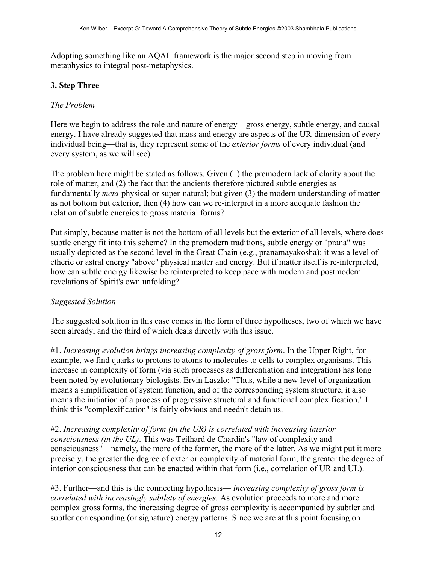Adopting something like an AQAL framework is the major second step in moving from metaphysics to integral post-metaphysics.

## **3. Step Three**

## *The Problem*

Here we begin to address the role and nature of energy—gross energy, subtle energy, and causal energy. I have already suggested that mass and energy are aspects of the UR-dimension of every individual being—that is, they represent some of the *exterior forms* of every individual (and every system, as we will see).

The problem here might be stated as follows. Given (1) the premodern lack of clarity about the role of matter, and (2) the fact that the ancients therefore pictured subtle energies as fundamentally *meta*-physical or super-natural; but given (3) the modern understanding of matter as not bottom but exterior, then (4) how can we re-interpret in a more adequate fashion the relation of subtle energies to gross material forms?

Put simply, because matter is not the bottom of all levels but the exterior of all levels, where does subtle energy fit into this scheme? In the premodern traditions, subtle energy or "prana" was usually depicted as the second level in the Great Chain (e.g., pranamayakosha): it was a level of etheric or astral energy "above" physical matter and energy. But if matter itself is re-interpreted, how can subtle energy likewise be reinterpreted to keep pace with modern and postmodern revelations of Spirit's own unfolding?

## *Suggested Solution*

The suggested solution in this case comes in the form of three hypotheses, two of which we have seen already, and the third of which deals directly with this issue.

#1. *Increasing evolution brings increasing complexity of gross form*. In the Upper Right, for example, we find quarks to protons to atoms to molecules to cells to complex organisms. This increase in complexity of form (via such processes as differentiation and integration) has long been noted by evolutionary biologists. Ervin Laszlo: "Thus, while a new level of organization means a simplification of system function, and of the corresponding system structure, it also means the initiation of a process of progressive structural and functional complexification." I think this "complexification" is fairly obvious and needn't detain us.

#2. *Increasing complexity of form (in the UR) is correlated with increasing interior consciousness (in the UL)*. This was Teilhard de Chardin's "law of complexity and consciousness"—namely, the more of the former, the more of the latter. As we might put it more precisely, the greater the degree of exterior complexity of material form, the greater the degree of interior consciousness that can be enacted within that form (i.e., correlation of UR and UL).

#3. Further—and this is the connecting hypothesis— *increasing complexity of gross form is correlated with increasingly subtlety of energies*. As evolution proceeds to more and more complex gross forms, the increasing degree of gross complexity is accompanied by subtler and subtler corresponding (or signature) energy patterns. Since we are at this point focusing on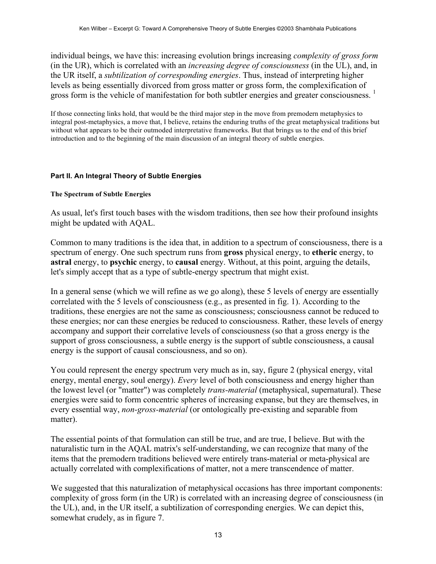individual beings, we have this: increasing evolution brings increasing *complexity of gross form*  (in the UR), which is correlated with an *increasing degree of consciousness* (in the UL), and, in the UR itself, a *subtilization of corresponding energies*. Thus, instead of interpreting higher levels as being essentially divorced from gross matter or gross form, the complexification of gross form is the vehicle of manifestation for both subtler energies and greater consciousness. <sup>1</sup>

If those connecting links hold, that would be the third major step in the move from premodern metaphysics to integral post-metaphysics, a move that, I believe, retains the enduring truths of the great metaphysical traditions but without what appears to be their outmoded interpretative frameworks. But that brings us to the end of this brief introduction and to the beginning of the main discussion of an integral theory of subtle energies.

#### **Part II. An Integral Theory of Subtle Energies**

#### **The Spectrum of Subtle Energies**

As usual, let's first touch bases with the wisdom traditions, then see how their profound insights might be updated with AQAL.

Common to many traditions is the idea that, in addition to a spectrum of consciousness, there is a spectrum of energy. One such spectrum runs from **gross** physical energy, to **etheric** energy, to **astral** energy, to **psychic** energy, to **causal** energy. Without, at this point, arguing the details, let's simply accept that as a type of subtle-energy spectrum that might exist.

In a general sense (which we will refine as we go along), these 5 levels of energy are essentially correlated with the 5 levels of consciousness (e.g., as presented in fig. 1). According to the traditions, these energies are not the same as consciousness; consciousness cannot be reduced to these energies; nor can these energies be reduced to consciousness. Rather, these levels of energy accompany and support their correlative levels of consciousness (so that a gross energy is the support of gross consciousness, a subtle energy is the support of subtle consciousness, a causal energy is the support of causal consciousness, and so on).

You could represent the energy spectrum very much as in, say, figure 2 (physical energy, vital energy, mental energy, soul energy). *Every* level of both consciousness and energy higher than the lowest level (or "matter") was completely *trans-material* (metaphysical, supernatural). These energies were said to form concentric spheres of increasing expanse, but they are themselves, in every essential way, *non-gross-material* (or ontologically pre-existing and separable from matter).

The essential points of that formulation can still be true, and are true, I believe. But with the naturalistic turn in the AQAL matrix's self-understanding, we can recognize that many of the items that the premodern traditions believed were entirely trans-material or meta-physical are actually correlated with complexifications of matter, not a mere transcendence of matter.

We suggested that this naturalization of metaphysical occasions has three important components: complexity of gross form (in the UR) is correlated with an increasing degree of consciousness (in the UL), and, in the UR itself, a subtilization of corresponding energies. We can depict this, somewhat crudely, as in figure 7.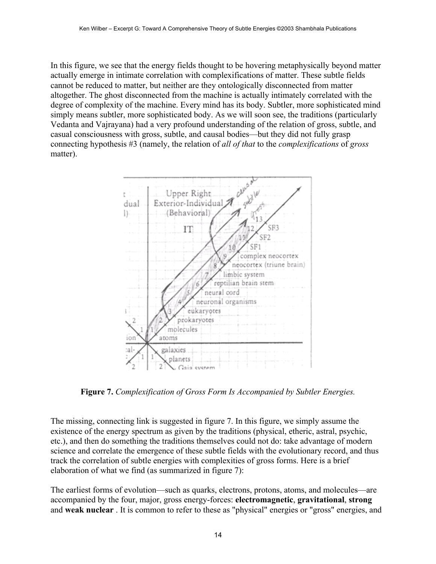In this figure, we see that the energy fields thought to be hovering metaphysically beyond matter actually emerge in intimate correlation with complexifications of matter. These subtle fields cannot be reduced to matter, but neither are they ontologically disconnected from matter altogether. The ghost disconnected from the machine is actually intimately correlated with the degree of complexity of the machine. Every mind has its body. Subtler, more sophisticated mind simply means subtler, more sophisticated body. As we will soon see, the traditions (particularly Vedanta and Vajrayana) had a very profound understanding of the relation of gross, subtle, and casual consciousness with gross, subtle, and causal bodies—but they did not fully grasp connecting hypothesis #3 (namely, the relation of *all of that* to the *complexifications* of *gross*  matter).



**Figure 7.** *Complexification of Gross Form Is Accompanied by Subtler Energies.*

The missing, connecting link is suggested in figure 7. In this figure, we simply assume the existence of the energy spectrum as given by the traditions (physical, etheric, astral, psychic, etc.), and then do something the traditions themselves could not do: take advantage of modern science and correlate the emergence of these subtle fields with the evolutionary record, and thus track the correlation of subtle energies with complexities of gross forms. Here is a brief elaboration of what we find (as summarized in figure 7):

The earliest forms of evolution—such as quarks, electrons, protons, atoms, and molecules—are accompanied by the four, major, gross energy-forces: **electromagnetic**, **gravitational**, **strong**  and **weak nuclear** . It is common to refer to these as "physical" energies or "gross" energies, and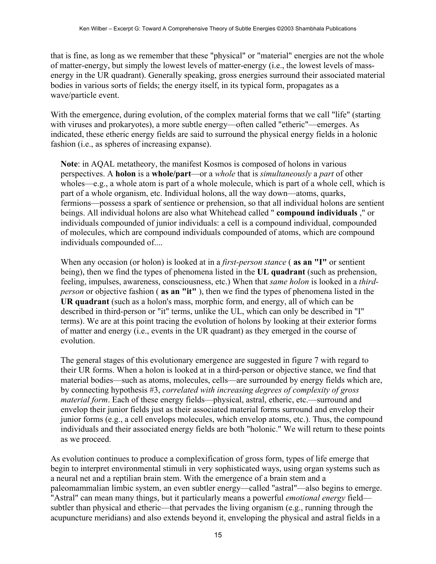that is fine, as long as we remember that these "physical" or "material" energies are not the whole of matter-energy, but simply the lowest levels of matter-energy (i.e., the lowest levels of massenergy in the UR quadrant). Generally speaking, gross energies surround their associated material bodies in various sorts of fields; the energy itself, in its typical form, propagates as a wave/particle event.

With the emergence, during evolution, of the complex material forms that we call "life" (starting with viruses and prokaryotes), a more subtle energy—often called "etheric"—emerges. As indicated, these etheric energy fields are said to surround the physical energy fields in a holonic fashion (i.e., as spheres of increasing expanse).

**Note**: in AQAL metatheory, the manifest Kosmos is composed of holons in various perspectives. A **holon** is a **whole/part**—or a *whole* that is *simultaneously* a *part* of other wholes—e.g., a whole atom is part of a whole molecule, which is part of a whole cell, which is part of a whole organism, etc. Individual holons, all the way down—atoms, quarks, fermions—possess a spark of sentience or prehension, so that all individual holons are sentient beings. All individual holons are also what Whitehead called " **compound individuals** ," or individuals compounded of junior individuals: a cell is a compound individual, compounded of molecules, which are compound individuals compounded of atoms, which are compound individuals compounded of....

When any occasion (or holon) is looked at in a *first-person stance* ( **as an "I"** or sentient being), then we find the types of phenomena listed in the **UL quadrant** (such as prehension, feeling, impulses, awareness, consciousness, etc.) When that *same holon* is looked in a *thirdperson* or objective fashion ( **as an "it"** ), then we find the types of phenomena listed in the **UR quadrant** (such as a holon's mass, morphic form, and energy, all of which can be described in third-person or "it" terms, unlike the UL, which can only be described in "I" terms). We are at this point tracing the evolution of holons by looking at their exterior forms of matter and energy (i.e., events in the UR quadrant) as they emerged in the course of evolution.

The general stages of this evolutionary emergence are suggested in figure 7 with regard to their UR forms. When a holon is looked at in a third-person or objective stance, we find that material bodies—such as atoms, molecules, cells—are surrounded by energy fields which are, by connecting hypothesis #3, *correlated with increasing degrees of complexity of gross material form*. Each of these energy fields—physical, astral, etheric, etc.—surround and envelop their junior fields just as their associated material forms surround and envelop their junior forms (e.g., a cell envelops molecules, which envelop atoms, etc.). Thus, the compound individuals and their associated energy fields are both "holonic." We will return to these points as we proceed.

As evolution continues to produce a complexification of gross form, types of life emerge that begin to interpret environmental stimuli in very sophisticated ways, using organ systems such as a neural net and a reptilian brain stem. With the emergence of a brain stem and a paleomammalian limbic system, an even subtler energy—called "astral"—also begins to emerge. "Astral" can mean many things, but it particularly means a powerful *emotional energy* field subtler than physical and etheric—that pervades the living organism (e.g., running through the acupuncture meridians) and also extends beyond it, enveloping the physical and astral fields in a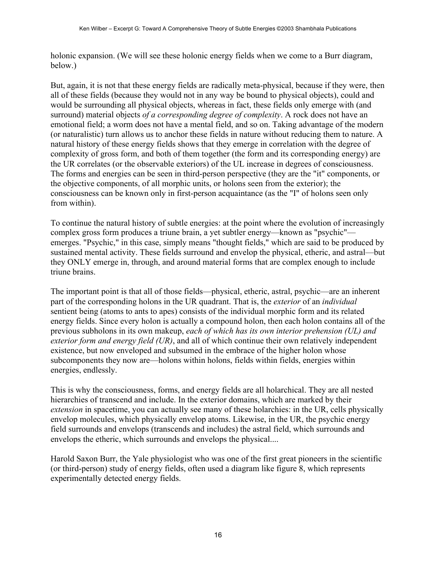holonic expansion. (We will see these holonic energy fields when we come to a Burr diagram, below.)

But, again, it is not that these energy fields are radically meta-physical, because if they were, then all of these fields (because they would not in any way be bound to physical objects), could and would be surrounding all physical objects, whereas in fact, these fields only emerge with (and surround) material objects *of a corresponding degree of complexity*. A rock does not have an emotional field; a worm does not have a mental field, and so on. Taking advantage of the modern (or naturalistic) turn allows us to anchor these fields in nature without reducing them to nature. A natural history of these energy fields shows that they emerge in correlation with the degree of complexity of gross form, and both of them together (the form and its corresponding energy) are the UR correlates (or the observable exteriors) of the UL increase in degrees of consciousness. The forms and energies can be seen in third-person perspective (they are the "it" components, or the objective components, of all morphic units, or holons seen from the exterior); the consciousness can be known only in first-person acquaintance (as the "I" of holons seen only from within).

To continue the natural history of subtle energies: at the point where the evolution of increasingly complex gross form produces a triune brain, a yet subtler energy—known as "psychic" emerges. "Psychic," in this case, simply means "thought fields," which are said to be produced by sustained mental activity. These fields surround and envelop the physical, etheric, and astral—but they ONLY emerge in, through, and around material forms that are complex enough to include triune brains.

The important point is that all of those fields—physical, etheric, astral, psychic—are an inherent part of the corresponding holons in the UR quadrant. That is, the *exterior* of an *individual*  sentient being (atoms to ants to apes) consists of the individual morphic form and its related energy fields. Since every holon is actually a compound holon, then each holon contains all of the previous subholons in its own makeup, *each of which has its own interior prehension (UL) and exterior form and energy field (UR)*, and all of which continue their own relatively independent existence, but now enveloped and subsumed in the embrace of the higher holon whose subcomponents they now are—holons within holons, fields within fields, energies within energies, endlessly.

This is why the consciousness, forms, and energy fields are all holarchical. They are all nested hierarchies of transcend and include. In the exterior domains, which are marked by their *extension* in spacetime, you can actually see many of these holarchies: in the UR, cells physically envelop molecules, which physically envelop atoms. Likewise, in the UR, the psychic energy field surrounds and envelops (transcends and includes) the astral field, which surrounds and envelops the etheric, which surrounds and envelops the physical....

Harold Saxon Burr, the Yale physiologist who was one of the first great pioneers in the scientific (or third-person) study of energy fields, often used a diagram like figure 8, which represents experimentally detected energy fields.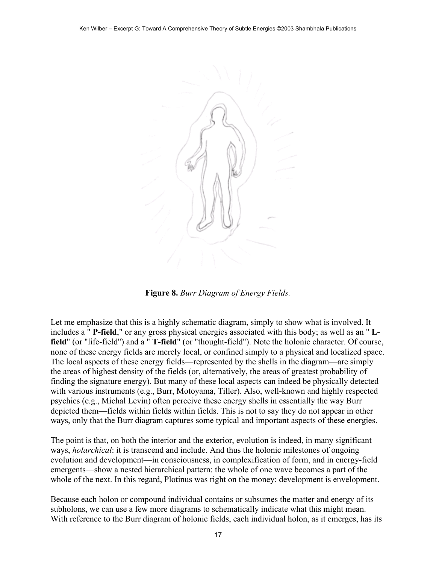

**Figure 8.** *Burr Diagram of Energy Fields.*

Let me emphasize that this is a highly schematic diagram, simply to show what is involved. It includes a " **P-field**," or any gross physical energies associated with this body; as well as an " **Lfield**" (or "life-field") and a " **T-field**" (or "thought-field"). Note the holonic character. Of course, none of these energy fields are merely local, or confined simply to a physical and localized space. The local aspects of these energy fields—represented by the shells in the diagram—are simply the areas of highest density of the fields (or, alternatively, the areas of greatest probability of finding the signature energy). But many of these local aspects can indeed be physically detected with various instruments (e.g., Burr, Motoyama, Tiller). Also, well-known and highly respected psychics (e.g., Michal Levin) often perceive these energy shells in essentially the way Burr depicted them—fields within fields within fields. This is not to say they do not appear in other ways, only that the Burr diagram captures some typical and important aspects of these energies.

The point is that, on both the interior and the exterior, evolution is indeed, in many significant ways, *holarchical*: it is transcend and include. And thus the holonic milestones of ongoing evolution and development—in consciousness, in complexification of form, and in energy-field emergents—show a nested hierarchical pattern: the whole of one wave becomes a part of the whole of the next. In this regard, Plotinus was right on the money: development is envelopment.

Because each holon or compound individual contains or subsumes the matter and energy of its subholons, we can use a few more diagrams to schematically indicate what this might mean. With reference to the Burr diagram of holonic fields, each individual holon, as it emerges, has its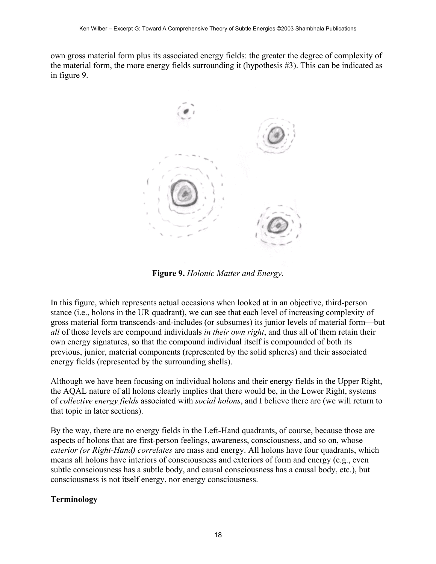own gross material form plus its associated energy fields: the greater the degree of complexity of the material form, the more energy fields surrounding it (hypothesis #3). This can be indicated as in figure 9.



**Figure 9.** *Holonic Matter and Energy.*

In this figure, which represents actual occasions when looked at in an objective, third-person stance (i.e., holons in the UR quadrant), we can see that each level of increasing complexity of gross material form transcends-and-includes (or subsumes) its junior levels of material form—but *all* of those levels are compound individuals *in their own right*, and thus all of them retain their own energy signatures, so that the compound individual itself is compounded of both its previous, junior, material components (represented by the solid spheres) and their associated energy fields (represented by the surrounding shells).

Although we have been focusing on individual holons and their energy fields in the Upper Right, the AQAL nature of all holons clearly implies that there would be, in the Lower Right, systems of *collective energy fields* associated with *social holons*, and I believe there are (we will return to that topic in later sections).

By the way, there are no energy fields in the Left-Hand quadrants, of course, because those are aspects of holons that are first-person feelings, awareness, consciousness, and so on, whose *exterior (or Right-Hand) correlates* are mass and energy. All holons have four quadrants, which means all holons have interiors of consciousness and exteriors of form and energy (e.g., even subtle consciousness has a subtle body, and causal consciousness has a causal body, etc.), but consciousness is not itself energy, nor energy consciousness.

### **Terminology**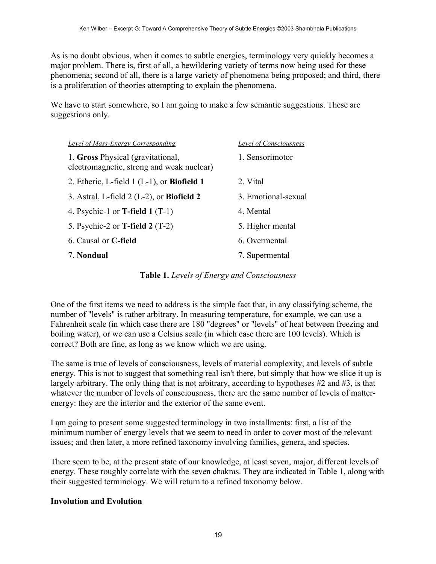As is no doubt obvious, when it comes to subtle energies, terminology very quickly becomes a major problem. There is, first of all, a bewildering variety of terms now being used for these phenomena; second of all, there is a large variety of phenomena being proposed; and third, there is a proliferation of theories attempting to explain the phenomena.

We have to start somewhere, so I am going to make a few semantic suggestions. These are suggestions only.

| <b>Level of Mass-Energy Corresponding</b>                                      | <b>Level of Consciousness</b> |  |
|--------------------------------------------------------------------------------|-------------------------------|--|
| 1. Gross Physical (gravitational,<br>electromagnetic, strong and weak nuclear) | 1. Sensorimotor               |  |
| 2. Etheric, L-field $1$ (L-1), or <b>Biofield 1</b>                            | 2. Vital                      |  |
| 3. Astral, L-field $2$ (L-2), or <b>Biofield 2</b>                             | 3. Emotional-sexual           |  |
| 4. Psychic-1 or <b>T-field 1</b> $(T-1)$                                       | 4 Mental                      |  |
| 5. Psychic-2 or <b>T-field 2</b> $(T-2)$                                       | 5. Higher mental              |  |
| 6. Causal or <b>C-field</b>                                                    | 6. Overmental                 |  |
| 7. Nondual                                                                     | 7. Supermental                |  |

**Table 1.** *Levels of Energy and Consciousness*

One of the first items we need to address is the simple fact that, in any classifying scheme, the number of "levels" is rather arbitrary. In measuring temperature, for example, we can use a Fahrenheit scale (in which case there are 180 "degrees" or "levels" of heat between freezing and boiling water), or we can use a Celsius scale (in which case there are 100 levels). Which is correct? Both are fine, as long as we know which we are using.

The same is true of levels of consciousness, levels of material complexity, and levels of subtle energy. This is not to suggest that something real isn't there, but simply that how we slice it up is largely arbitrary. The only thing that is not arbitrary, according to hypotheses #2 and #3, is that whatever the number of levels of consciousness, there are the same number of levels of matterenergy: they are the interior and the exterior of the same event.

I am going to present some suggested terminology in two installments: first, a list of the minimum number of energy levels that we seem to need in order to cover most of the relevant issues; and then later, a more refined taxonomy involving families, genera, and species.

There seem to be, at the present state of our knowledge, at least seven, major, different levels of energy. These roughly correlate with the seven chakras. They are indicated in Table 1, along with their suggested terminology. We will return to a refined taxonomy below.

#### **Involution and Evolution**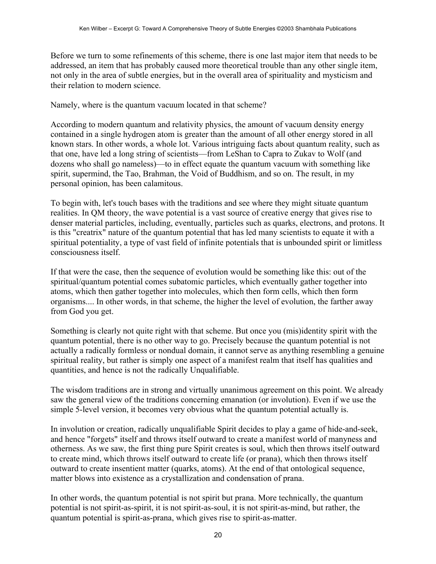Before we turn to some refinements of this scheme, there is one last major item that needs to be addressed, an item that has probably caused more theoretical trouble than any other single item, not only in the area of subtle energies, but in the overall area of spirituality and mysticism and their relation to modern science.

Namely, where is the quantum vacuum located in that scheme?

According to modern quantum and relativity physics, the amount of vacuum density energy contained in a single hydrogen atom is greater than the amount of all other energy stored in all known stars. In other words, a whole lot. Various intriguing facts about quantum reality, such as that one, have led a long string of scientists—from LeShan to Capra to Zukav to Wolf (and dozens who shall go nameless)—to in effect equate the quantum vacuum with something like spirit, supermind, the Tao, Brahman, the Void of Buddhism, and so on. The result, in my personal opinion, has been calamitous.

To begin with, let's touch bases with the traditions and see where they might situate quantum realities. In QM theory, the wave potential is a vast source of creative energy that gives rise to denser material particles, including, eventually, particles such as quarks, electrons, and protons. It is this "creatrix" nature of the quantum potential that has led many scientists to equate it with a spiritual potentiality, a type of vast field of infinite potentials that is unbounded spirit or limitless consciousness itself.

If that were the case, then the sequence of evolution would be something like this: out of the spiritual/quantum potential comes subatomic particles, which eventually gather together into atoms, which then gather together into molecules, which then form cells, which then form organisms.... In other words, in that scheme, the higher the level of evolution, the farther away from God you get.

Something is clearly not quite right with that scheme. But once you (mis)identity spirit with the quantum potential, there is no other way to go. Precisely because the quantum potential is not actually a radically formless or nondual domain, it cannot serve as anything resembling a genuine spiritual reality, but rather is simply one aspect of a manifest realm that itself has qualities and quantities, and hence is not the radically Unqualifiable.

The wisdom traditions are in strong and virtually unanimous agreement on this point. We already saw the general view of the traditions concerning emanation (or involution). Even if we use the simple 5-level version, it becomes very obvious what the quantum potential actually is.

In involution or creation, radically unqualifiable Spirit decides to play a game of hide-and-seek, and hence "forgets" itself and throws itself outward to create a manifest world of manyness and otherness. As we saw, the first thing pure Spirit creates is soul, which then throws itself outward to create mind, which throws itself outward to create life (or prana), which then throws itself outward to create insentient matter (quarks, atoms). At the end of that ontological sequence, matter blows into existence as a crystallization and condensation of prana.

In other words, the quantum potential is not spirit but prana. More technically, the quantum potential is not spirit-as-spirit, it is not spirit-as-soul, it is not spirit-as-mind, but rather, the quantum potential is spirit-as-prana, which gives rise to spirit-as-matter.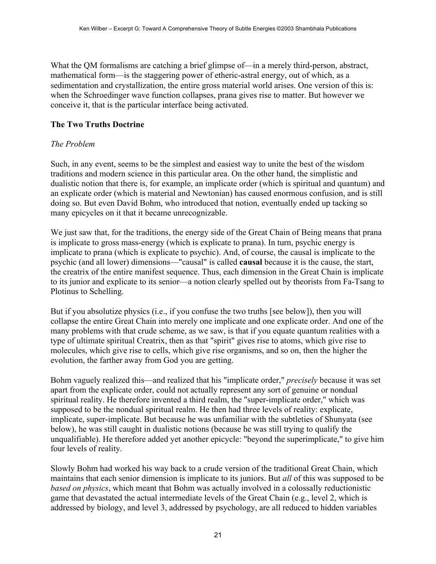What the QM formalisms are catching a brief glimpse of—in a merely third-person, abstract, mathematical form—is the staggering power of etheric-astral energy, out of which, as a sedimentation and crystallization, the entire gross material world arises. One version of this is: when the Schroedinger wave function collapses, prana gives rise to matter. But however we conceive it, that is the particular interface being activated.

#### **The Two Truths Doctrine**

#### *The Problem*

Such, in any event, seems to be the simplest and easiest way to unite the best of the wisdom traditions and modern science in this particular area. On the other hand, the simplistic and dualistic notion that there is, for example, an implicate order (which is spiritual and quantum) and an explicate order (which is material and Newtonian) has caused enormous confusion, and is still doing so. But even David Bohm, who introduced that notion, eventually ended up tacking so many epicycles on it that it became unrecognizable.

We just saw that, for the traditions, the energy side of the Great Chain of Being means that prana is implicate to gross mass-energy (which is explicate to prana). In turn, psychic energy is implicate to prana (which is explicate to psychic). And, of course, the causal is implicate to the psychic (and all lower) dimensions—"causal" is called **causal** because it is the cause, the start, the creatrix of the entire manifest sequence. Thus, each dimension in the Great Chain is implicate to its junior and explicate to its senior—a notion clearly spelled out by theorists from Fa-Tsang to Plotinus to Schelling.

But if you absolutize physics (i.e., if you confuse the two truths [see below]), then you will collapse the entire Great Chain into merely one implicate and one explicate order. And one of the many problems with that crude scheme, as we saw, is that if you equate quantum realities with a type of ultimate spiritual Creatrix, then as that "spirit" gives rise to atoms, which give rise to molecules, which give rise to cells, which give rise organisms, and so on, then the higher the evolution, the farther away from God you are getting.

Bohm vaguely realized this—and realized that his "implicate order," *precisely* because it was set apart from the explicate order, could not actually represent any sort of genuine or nondual spiritual reality. He therefore invented a third realm, the "super-implicate order," which was supposed to be the nondual spiritual realm. He then had three levels of reality: explicate, implicate, super-implicate. But because he was unfamiliar with the subtleties of Shunyata (see below), he was still caught in dualistic notions (because he was still trying to qualify the unqualifiable). He therefore added yet another epicycle: "beyond the superimplicate," to give him four levels of reality.

Slowly Bohm had worked his way back to a crude version of the traditional Great Chain, which maintains that each senior dimension is implicate to its juniors. But *all* of this was supposed to be *based on physics*, which meant that Bohm was actually involved in a colossally reductionistic game that devastated the actual intermediate levels of the Great Chain (e.g., level 2, which is addressed by biology, and level 3, addressed by psychology, are all reduced to hidden variables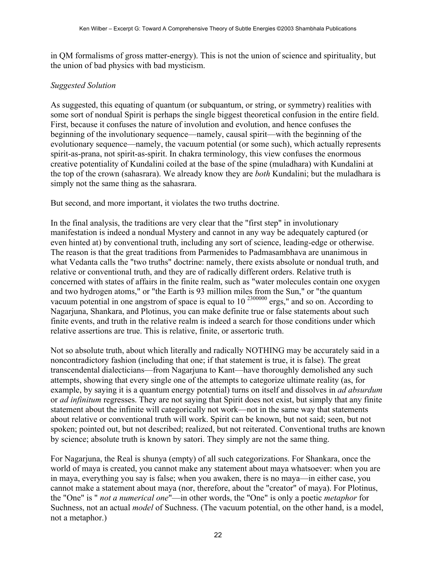in QM formalisms of gross matter-energy). This is not the union of science and spirituality, but the union of bad physics with bad mysticism.

#### *Suggested Solution*

As suggested, this equating of quantum (or subquantum, or string, or symmetry) realities with some sort of nondual Spirit is perhaps the single biggest theoretical confusion in the entire field. First, because it confuses the nature of involution and evolution, and hence confuses the beginning of the involutionary sequence—namely, causal spirit—with the beginning of the evolutionary sequence—namely, the vacuum potential (or some such), which actually represents spirit-as-prana, not spirit-as-spirit. In chakra terminology, this view confuses the enormous creative potentiality of Kundalini coiled at the base of the spine (muladhara) with Kundalini at the top of the crown (sahasrara). We already know they are *both* Kundalini; but the muladhara is simply not the same thing as the sahasrara.

But second, and more important, it violates the two truths doctrine.

In the final analysis, the traditions are very clear that the "first step" in involutionary manifestation is indeed a nondual Mystery and cannot in any way be adequately captured (or even hinted at) by conventional truth, including any sort of science, leading-edge or otherwise. The reason is that the great traditions from Parmenides to Padmasambhava are unanimous in what Vedanta calls the "two truths" doctrine: namely, there exists absolute or nondual truth, and relative or conventional truth, and they are of radically different orders. Relative truth is concerned with states of affairs in the finite realm, such as "water molecules contain one oxygen and two hydrogen atoms," or "the Earth is 93 million miles from the Sun," or "the quantum vacuum potential in one angstrom of space is equal to 10 2300000 ergs," and so on. According to Nagarjuna, Shankara, and Plotinus, you can make definite true or false statements about such finite events, and truth in the relative realm is indeed a search for those conditions under which relative assertions are true. This is relative, finite, or assertoric truth.

Not so absolute truth, about which literally and radically NOTHING may be accurately said in a noncontradictory fashion (including that one; if that statement is true, it is false). The great transcendental dialecticians—from Nagarjuna to Kant—have thoroughly demolished any such attempts, showing that every single one of the attempts to categorize ultimate reality (as, for example, by saying it is a quantum energy potential) turns on itself and dissolves in *ad absurdum*  or *ad infinitum* regresses. They are not saying that Spirit does not exist, but simply that any finite statement about the infinite will categorically not work—not in the same way that statements about relative or conventional truth will work. Spirit can be known, but not said; seen, but not spoken; pointed out, but not described; realized, but not reiterated. Conventional truths are known by science; absolute truth is known by satori. They simply are not the same thing.

For Nagarjuna, the Real is shunya (empty) of all such categorizations. For Shankara, once the world of maya is created, you cannot make any statement about maya whatsoever: when you are in maya, everything you say is false; when you awaken, there is no maya—in either case, you cannot make a statement about maya (nor, therefore, about the "creator" of maya). For Plotinus, the "One" is " *not a numerical one*"—in other words, the "One" is only a poetic *metaphor* for Suchness, not an actual *model* of Suchness. (The vacuum potential, on the other hand, is a model, not a metaphor.)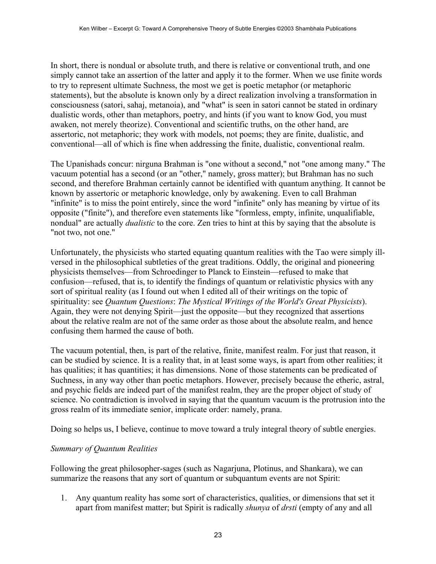In short, there is nondual or absolute truth, and there is relative or conventional truth, and one simply cannot take an assertion of the latter and apply it to the former. When we use finite words to try to represent ultimate Suchness, the most we get is poetic metaphor (or metaphoric statements), but the absolute is known only by a direct realization involving a transformation in consciousness (satori, sahaj, metanoia), and "what" is seen in satori cannot be stated in ordinary dualistic words, other than metaphors, poetry, and hints (if you want to know God, you must awaken, not merely theorize). Conventional and scientific truths, on the other hand, are assertoric, not metaphoric; they work with models, not poems; they are finite, dualistic, and conventional—all of which is fine when addressing the finite, dualistic, conventional realm.

The Upanishads concur: nirguna Brahman is "one without a second," not "one among many." The vacuum potential has a second (or an "other," namely, gross matter); but Brahman has no such second, and therefore Brahman certainly cannot be identified with quantum anything. It cannot be known by assertoric or metaphoric knowledge, only by awakening. Even to call Brahman "infinite" is to miss the point entirely, since the word "infinite" only has meaning by virtue of its opposite ("finite"), and therefore even statements like "formless, empty, infinite, unqualifiable, nondual" are actually *dualistic* to the core. Zen tries to hint at this by saying that the absolute is "not two, not one."

Unfortunately, the physicists who started equating quantum realities with the Tao were simply illversed in the philosophical subtleties of the great traditions. Oddly, the original and pioneering physicists themselves—from Schroedinger to Planck to Einstein—refused to make that confusion—refused, that is, to identify the findings of quantum or relativistic physics with any sort of spiritual reality (as I found out when I edited all of their writings on the topic of spirituality: see *Quantum Questions*: *The Mystical Writings of the World's Great Physicists*). Again, they were not denying Spirit—just the opposite—but they recognized that assertions about the relative realm are not of the same order as those about the absolute realm, and hence confusing them harmed the cause of both.

The vacuum potential, then, is part of the relative, finite, manifest realm. For just that reason, it can be studied by science. It is a reality that, in at least some ways, is apart from other realities; it has qualities; it has quantities; it has dimensions. None of those statements can be predicated of Suchness, in any way other than poetic metaphors. However, precisely because the etheric, astral, and psychic fields are indeed part of the manifest realm, they are the proper object of study of science. No contradiction is involved in saying that the quantum vacuum is the protrusion into the gross realm of its immediate senior, implicate order: namely, prana.

Doing so helps us, I believe, continue to move toward a truly integral theory of subtle energies.

## *Summary of Quantum Realities*

Following the great philosopher-sages (such as Nagarjuna, Plotinus, and Shankara), we can summarize the reasons that any sort of quantum or subquantum events are not Spirit:

1. Any quantum reality has some sort of characteristics, qualities, or dimensions that set it apart from manifest matter; but Spirit is radically *shunya* of *drsti* (empty of any and all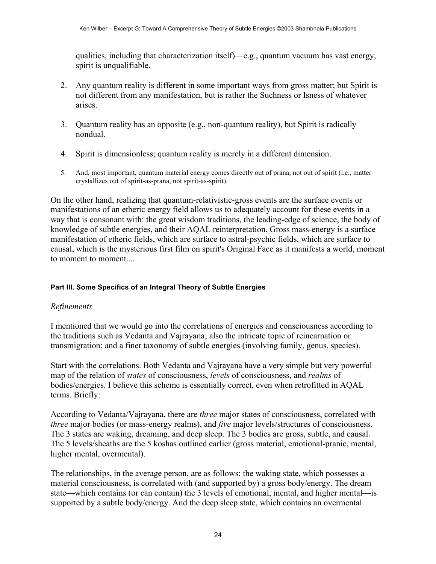qualities, including that characterization itself)—e.g., quantum vacuum has vast energy, spirit is unqualifiable.

- 2. Any quantum reality is different in some important ways from gross matter; but Spirit is not different from any manifestation, but is rather the Suchness or Isness of whatever arises.
- 3. Quantum reality has an opposite (e.g., non-quantum reality), but Spirit is radically nondual.
- 4. Spirit is dimensionless; quantum reality is merely in a different dimension.
- 5. And, most important, quantum material energy comes directly out of prana, not out of spirit (i.e., matter crystallizes out of spirit-as-prana, not spirit-as-spirit).

On the other hand, realizing that quantum-relativistic-gross events are the surface events or manifestations of an etheric energy field allows us to adequately account for these events in a way that is consonant with: the great wisdom traditions, the leading-edge of science, the body of knowledge of subtle energies, and their AQAL reinterpretation. Gross mass-energy is a surface manifestation of etheric fields, which are surface to astral-psychic fields, which are surface to causal, which is the mysterious first film on spirit's Original Face as it manifests a world, moment to moment to moment....

#### **Part III. Some Specifics of an Integral Theory of Subtle Energies**

### *Refinements*

I mentioned that we would go into the correlations of energies and consciousness according to the traditions such as Vedanta and Vajrayana; also the intricate topic of reincarnation or transmigration; and a finer taxonomy of subtle energies (involving family, genus, species).

Start with the correlations. Both Vedanta and Vajrayana have a very simple but very powerful map of the relation of *states* of consciousness, *levels* of consciousness, and *realms* of bodies/energies. I believe this scheme is essentially correct, even when retrofitted in AQAL terms. Briefly:

According to Vedanta/Vajrayana, there are *three* major states of consciousness, correlated with *three* major bodies (or mass-energy realms), and *five* major levels/structures of consciousness. The 3 states are waking, dreaming, and deep sleep. The 3 bodies are gross, subtle, and causal. The 5 levels/sheaths are the 5 koshas outlined earlier (gross material, emotional-pranic, mental, higher mental, overmental).

The relationships, in the average person, are as follows: the waking state, which possesses a material consciousness, is correlated with (and supported by) a gross body/energy. The dream state—which contains (or can contain) the 3 levels of emotional, mental, and higher mental—is supported by a subtle body/energy. And the deep sleep state, which contains an overmental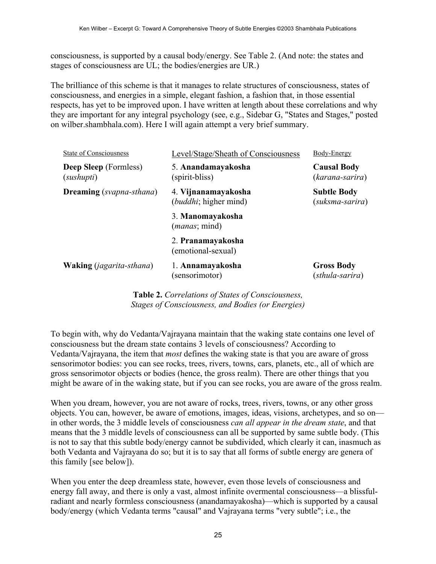consciousness, is supported by a causal body/energy. See Table 2. (And note: the states and stages of consciousness are UL; the bodies/energies are UR.)

The brilliance of this scheme is that it manages to relate structures of consciousness, states of consciousness, and energies in a simple, elegant fashion, a fashion that, in those essential respects, has yet to be improved upon. I have written at length about these correlations and why they are important for any integral psychology (see, e.g., Sidebar G, "States and Stages," posted on wilber.shambhala.com). Here I will again attempt a very brief summary.

| <b>State of Consciousness</b>              | Level/Stage/Sheath of Consciousness                   | <b>Body-Energy</b>                    |
|--------------------------------------------|-------------------------------------------------------|---------------------------------------|
| <b>Deep Sleep</b> (Formless)<br>(sushupti) | 5. Anandamayakosha<br>(spirit-bliss)                  | <b>Causal Body</b><br>(karana-sarira) |
| <b>Dreaming</b> (svapna-sthana)            | 4. Vijnanamayakosha<br>( <i>buddhi</i> ; higher mind) | <b>Subtle Body</b><br>(suksma-sarira) |
|                                            | 3. Manomayakosha<br>( <i>manas</i> ; mind)            |                                       |
|                                            | 2. Pranamayakosha<br>(emotional-sexual)               |                                       |
| <b>Waking</b> ( <i>jagarita-sthana</i> )   | 1. Annamayakosha<br>(sensorimotor)                    | <b>Gross Body</b><br>(sthula-sarira)  |

**Table 2.** *Correlations of States of Consciousness, Stages of Consciousness, and Bodies (or Energies)*

To begin with, why do Vedanta/Vajrayana maintain that the waking state contains one level of consciousness but the dream state contains 3 levels of consciousness? According to Vedanta/Vajrayana, the item that *most* defines the waking state is that you are aware of gross sensorimotor bodies: you can see rocks, trees, rivers, towns, cars, planets, etc., all of which are gross sensorimotor objects or bodies (hence, the gross realm). There are other things that you might be aware of in the waking state, but if you can see rocks, you are aware of the gross realm.

When you dream, however, you are not aware of rocks, trees, rivers, towns, or any other gross objects. You can, however, be aware of emotions, images, ideas, visions, archetypes, and so on in other words, the 3 middle levels of consciousness *can all appear in the dream state*, and that means that the 3 middle levels of consciousness can all be supported by same subtle body. (This is not to say that this subtle body/energy cannot be subdivided, which clearly it can, inasmuch as both Vedanta and Vajrayana do so; but it is to say that all forms of subtle energy are genera of this family [see below]).

When you enter the deep dreamless state, however, even those levels of consciousness and energy fall away, and there is only a vast, almost infinite overmental consciousness—a blissfulradiant and nearly formless consciousness (anandamayakosha)—which is supported by a causal body/energy (which Vedanta terms "causal" and Vajrayana terms "very subtle"; i.e., the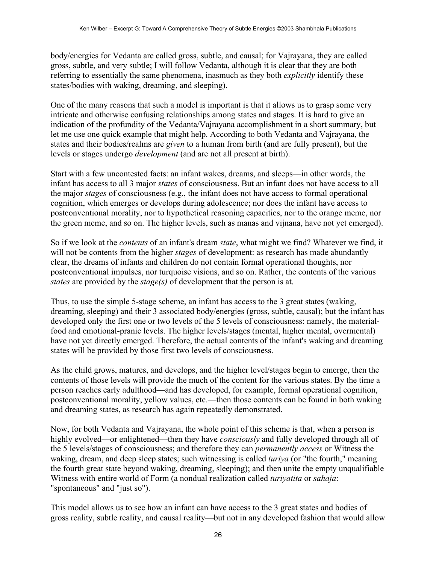body/energies for Vedanta are called gross, subtle, and causal; for Vajrayana, they are called gross, subtle, and very subtle; I will follow Vedanta, although it is clear that they are both referring to essentially the same phenomena, inasmuch as they both *explicitly* identify these states/bodies with waking, dreaming, and sleeping).

One of the many reasons that such a model is important is that it allows us to grasp some very intricate and otherwise confusing relationships among states and stages. It is hard to give an indication of the profundity of the Vedanta/Vajrayana accomplishment in a short summary, but let me use one quick example that might help. According to both Vedanta and Vajrayana, the states and their bodies/realms are *given* to a human from birth (and are fully present), but the levels or stages undergo *development* (and are not all present at birth).

Start with a few uncontested facts: an infant wakes, dreams, and sleeps—in other words, the infant has access to all 3 major *states* of consciousness. But an infant does not have access to all the major *stages* of consciousness (e.g., the infant does not have access to formal operational cognition, which emerges or develops during adolescence; nor does the infant have access to postconventional morality, nor to hypothetical reasoning capacities, nor to the orange meme, nor the green meme, and so on. The higher levels, such as manas and vijnana, have not yet emerged).

So if we look at the *contents* of an infant's dream *state*, what might we find? Whatever we find, it will not be contents from the higher *stages* of development: as research has made abundantly clear, the dreams of infants and children do not contain formal operational thoughts, nor postconventional impulses, nor turquoise visions, and so on. Rather, the contents of the various *states* are provided by the *stage(s)* of development that the person is at.

Thus, to use the simple 5-stage scheme, an infant has access to the 3 great states (waking, dreaming, sleeping) and their 3 associated body/energies (gross, subtle, causal); but the infant has developed only the first one or two levels of the 5 levels of consciousness: namely, the materialfood and emotional-pranic levels. The higher levels/stages (mental, higher mental, overmental) have not yet directly emerged. Therefore, the actual contents of the infant's waking and dreaming states will be provided by those first two levels of consciousness.

As the child grows, matures, and develops, and the higher level/stages begin to emerge, then the contents of those levels will provide the much of the content for the various states. By the time a person reaches early adulthood—and has developed, for example, formal operational cognition, postconventional morality, yellow values, etc.—then those contents can be found in both waking and dreaming states, as research has again repeatedly demonstrated.

Now, for both Vedanta and Vajrayana, the whole point of this scheme is that, when a person is highly evolved—or enlightened—then they have *consciously* and fully developed through all of the 5 levels/stages of consciousness; and therefore they can *permanently access* or Witness the waking, dream, and deep sleep states; such witnessing is called *turiya* (or "the fourth," meaning the fourth great state beyond waking, dreaming, sleeping); and then unite the empty unqualifiable Witness with entire world of Form (a nondual realization called *turiyatita* or *sahaja*: "spontaneous" and "just so").

This model allows us to see how an infant can have access to the 3 great states and bodies of gross reality, subtle reality, and causal reality—but not in any developed fashion that would allow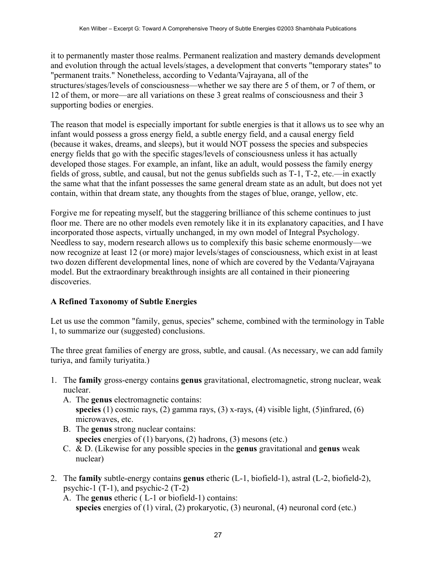it to permanently master those realms. Permanent realization and mastery demands development and evolution through the actual levels/stages, a development that converts "temporary states" to "permanent traits." Nonetheless, according to Vedanta/Vajrayana, all of the structures/stages/levels of consciousness—whether we say there are 5 of them, or 7 of them, or 12 of them, or more—are all variations on these 3 great realms of consciousness and their 3 supporting bodies or energies.

The reason that model is especially important for subtle energies is that it allows us to see why an infant would possess a gross energy field, a subtle energy field, and a causal energy field (because it wakes, dreams, and sleeps), but it would NOT possess the species and subspecies energy fields that go with the specific stages/levels of consciousness unless it has actually developed those stages. For example, an infant, like an adult, would possess the family energy fields of gross, subtle, and causal, but not the genus subfields such as T-1, T-2, etc.—in exactly the same what that the infant possesses the same general dream state as an adult, but does not yet contain, within that dream state, any thoughts from the stages of blue, orange, yellow, etc.

Forgive me for repeating myself, but the staggering brilliance of this scheme continues to just floor me. There are no other models even remotely like it in its explanatory capacities, and I have incorporated those aspects, virtually unchanged, in my own model of Integral Psychology. Needless to say, modern research allows us to complexify this basic scheme enormously—we now recognize at least 12 (or more) major levels/stages of consciousness, which exist in at least two dozen different developmental lines, none of which are covered by the Vedanta/Vajrayana model. But the extraordinary breakthrough insights are all contained in their pioneering discoveries.

## **A Refined Taxonomy of Subtle Energies**

Let us use the common "family, genus, species" scheme, combined with the terminology in Table 1, to summarize our (suggested) conclusions.

The three great families of energy are gross, subtle, and causal. (As necessary, we can add family turiya, and family turiyatita.)

- 1. The **family** gross-energy contains **genus** gravitational, electromagnetic, strong nuclear, weak nuclear.
	- A. The **genus** electromagnetic contains: **species** (1) cosmic rays, (2) gamma rays, (3) x-rays, (4) visible light, (5)infrared, (6) microwaves, etc.
	- B. The **genus** strong nuclear contains: **species** energies of (1) baryons, (2) hadrons, (3) mesons (etc.)
	- C. & D. (Likewise for any possible species in the **genus** gravitational and **genus** weak nuclear)
- 2. The **family** subtle-energy contains **genus** etheric (L-1, biofield-1), astral (L-2, biofield-2), psychic-1 (T-1), and psychic-2 (T-2)
	- A. The **genus** etheric ( L-1 or biofield-1) contains: **species** energies of (1) viral, (2) prokaryotic, (3) neuronal, (4) neuronal cord (etc.)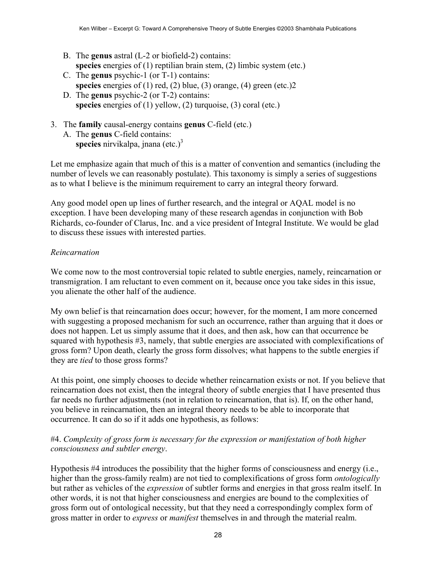- B. The **genus** astral (L-2 or biofield-2) contains: **species** energies of (1) reptilian brain stem, (2) limbic system (etc.)
- C. The **genus** psychic-1 (or T-1) contains: **species** energies of (1) red, (2) blue, (3) orange, (4) green (etc.)2
- D. The **genus** psychic-2 (or T-2) contains: **species** energies of (1) yellow, (2) turquoise, (3) coral (etc.)
- 3. The **family** causal-energy contains **genus** C-field (etc.)
	- A. The **genus** C-field contains: **species** nirvikalpa, jnana (etc.)<sup>3</sup>

Let me emphasize again that much of this is a matter of convention and semantics (including the number of levels we can reasonably postulate). This taxonomy is simply a series of suggestions as to what I believe is the minimum requirement to carry an integral theory forward.

Any good model open up lines of further research, and the integral or AQAL model is no exception. I have been developing many of these research agendas in conjunction with Bob Richards, co-founder of Clarus, Inc. and a vice president of Integral Institute. We would be glad to discuss these issues with interested parties.

### *Reincarnation*

We come now to the most controversial topic related to subtle energies, namely, reincarnation or transmigration. I am reluctant to even comment on it, because once you take sides in this issue, you alienate the other half of the audience.

My own belief is that reincarnation does occur; however, for the moment, I am more concerned with suggesting a proposed mechanism for such an occurrence, rather than arguing that it does or does not happen. Let us simply assume that it does, and then ask, how can that occurrence be squared with hypothesis #3, namely, that subtle energies are associated with complexifications of gross form? Upon death, clearly the gross form dissolves; what happens to the subtle energies if they are *tied* to those gross forms?

At this point, one simply chooses to decide whether reincarnation exists or not. If you believe that reincarnation does not exist, then the integral theory of subtle energies that I have presented thus far needs no further adjustments (not in relation to reincarnation, that is). If, on the other hand, you believe in reincarnation, then an integral theory needs to be able to incorporate that occurrence. It can do so if it adds one hypothesis, as follows:

### #4. *Complexity of gross form is necessary for the expression or manifestation of both higher consciousness and subtler energy*.

Hypothesis #4 introduces the possibility that the higher forms of consciousness and energy (i.e., higher than the gross-family realm) are not tied to complexifications of gross form *ontologically*  but rather as vehicles of the *expression* of subtler forms and energies in that gross realm itself. In other words, it is not that higher consciousness and energies are bound to the complexities of gross form out of ontological necessity, but that they need a correspondingly complex form of gross matter in order to *express* or *manifest* themselves in and through the material realm.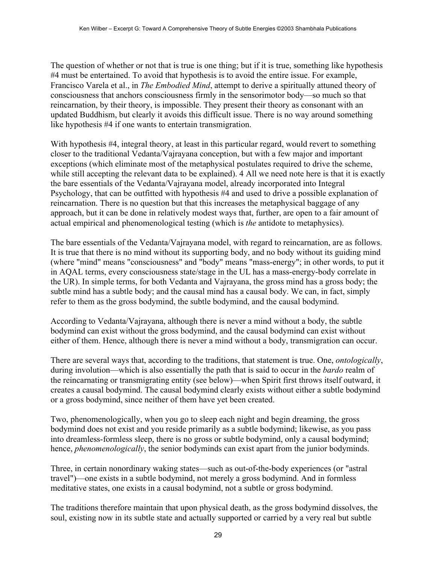The question of whether or not that is true is one thing; but if it is true, something like hypothesis #4 must be entertained. To avoid that hypothesis is to avoid the entire issue. For example, Francisco Varela et al., in *The Embodied Mind*, attempt to derive a spiritually attuned theory of consciousness that anchors consciousness firmly in the sensorimotor body—so much so that reincarnation, by their theory, is impossible. They present their theory as consonant with an updated Buddhism, but clearly it avoids this difficult issue. There is no way around something like hypothesis #4 if one wants to entertain transmigration.

With hypothesis #4, integral theory, at least in this particular regard, would revert to something closer to the traditional Vedanta/Vajrayana conception, but with a few major and important exceptions (which eliminate most of the metaphysical postulates required to drive the scheme, while still accepting the relevant data to be explained). 4 All we need note here is that it is exactly the bare essentials of the Vedanta/Vajrayana model, already incorporated into Integral Psychology, that can be outfitted with hypothesis #4 and used to drive a possible explanation of reincarnation. There is no question but that this increases the metaphysical baggage of any approach, but it can be done in relatively modest ways that, further, are open to a fair amount of actual empirical and phenomenological testing (which is *the* antidote to metaphysics).

The bare essentials of the Vedanta/Vajrayana model, with regard to reincarnation, are as follows. It is true that there is no mind without its supporting body, and no body without its guiding mind (where "mind" means "consciousness" and "body" means "mass-energy"; in other words, to put it in AQAL terms, every consciousness state/stage in the UL has a mass-energy-body correlate in the UR). In simple terms, for both Vedanta and Vajrayana, the gross mind has a gross body; the subtle mind has a subtle body; and the causal mind has a causal body. We can, in fact, simply refer to them as the gross bodymind, the subtle bodymind, and the causal bodymind.

According to Vedanta/Vajrayana, although there is never a mind without a body, the subtle bodymind can exist without the gross bodymind, and the causal bodymind can exist without either of them. Hence, although there is never a mind without a body, transmigration can occur.

There are several ways that, according to the traditions, that statement is true. One, *ontologically*, during involution—which is also essentially the path that is said to occur in the *bardo* realm of the reincarnating or transmigrating entity (see below)—when Spirit first throws itself outward, it creates a causal bodymind. The causal bodymind clearly exists without either a subtle bodymind or a gross bodymind, since neither of them have yet been created.

Two, phenomenologically, when you go to sleep each night and begin dreaming, the gross bodymind does not exist and you reside primarily as a subtle bodymind; likewise, as you pass into dreamless-formless sleep, there is no gross or subtle bodymind, only a causal bodymind; hence, *phenomenologically*, the senior bodyminds can exist apart from the junior bodyminds.

Three, in certain nonordinary waking states—such as out-of-the-body experiences (or "astral travel")—one exists in a subtle bodymind, not merely a gross bodymind. And in formless meditative states, one exists in a causal bodymind, not a subtle or gross bodymind.

The traditions therefore maintain that upon physical death, as the gross bodymind dissolves, the soul, existing now in its subtle state and actually supported or carried by a very real but subtle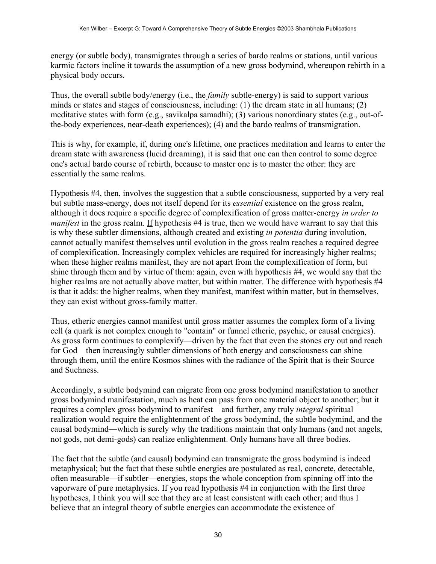energy (or subtle body), transmigrates through a series of bardo realms or stations, until various karmic factors incline it towards the assumption of a new gross bodymind, whereupon rebirth in a physical body occurs.

Thus, the overall subtle body/energy (i.e., the *family* subtle-energy) is said to support various minds or states and stages of consciousness, including: (1) the dream state in all humans; (2) meditative states with form (e.g., savikalpa samadhi); (3) various nonordinary states (e.g., out-ofthe-body experiences, near-death experiences); (4) and the bardo realms of transmigration.

This is why, for example, if, during one's lifetime, one practices meditation and learns to enter the dream state with awareness (lucid dreaming), it is said that one can then control to some degree one's actual bardo course of rebirth, because to master one is to master the other: they are essentially the same realms.

Hypothesis #4, then, involves the suggestion that a subtle consciousness, supported by a very real but subtle mass-energy, does not itself depend for its *essential* existence on the gross realm, although it does require a specific degree of complexification of gross matter-energy *in order to manifest* in the gross realm. If hypothesis #4 is true, then we would have warrant to say that this is why these subtler dimensions, although created and existing *in potentia* during involution, cannot actually manifest themselves until evolution in the gross realm reaches a required degree of complexification. Increasingly complex vehicles are required for increasingly higher realms; when these higher realms manifest, they are not apart from the complexification of form, but shine through them and by virtue of them: again, even with hypothesis #4, we would say that the higher realms are not actually above matter, but within matter. The difference with hypothesis #4 is that it adds: the higher realms, when they manifest, manifest within matter, but in themselves, they can exist without gross-family matter.

Thus, etheric energies cannot manifest until gross matter assumes the complex form of a living cell (a quark is not complex enough to "contain" or funnel etheric, psychic, or causal energies). As gross form continues to complexify—driven by the fact that even the stones cry out and reach for God—then increasingly subtler dimensions of both energy and consciousness can shine through them, until the entire Kosmos shines with the radiance of the Spirit that is their Source and Suchness.

Accordingly, a subtle bodymind can migrate from one gross bodymind manifestation to another gross bodymind manifestation, much as heat can pass from one material object to another; but it requires a complex gross bodymind to manifest—and further, any truly *integral* spiritual realization would require the enlightenment of the gross bodymind, the subtle bodymind, and the causal bodymind—which is surely why the traditions maintain that only humans (and not angels, not gods, not demi-gods) can realize enlightenment. Only humans have all three bodies.

The fact that the subtle (and causal) bodymind can transmigrate the gross bodymind is indeed metaphysical; but the fact that these subtle energies are postulated as real, concrete, detectable, often measurable—if subtler—energies, stops the whole conception from spinning off into the vaporware of pure metaphysics. If you read hypothesis #4 in conjunction with the first three hypotheses, I think you will see that they are at least consistent with each other; and thus I believe that an integral theory of subtle energies can accommodate the existence of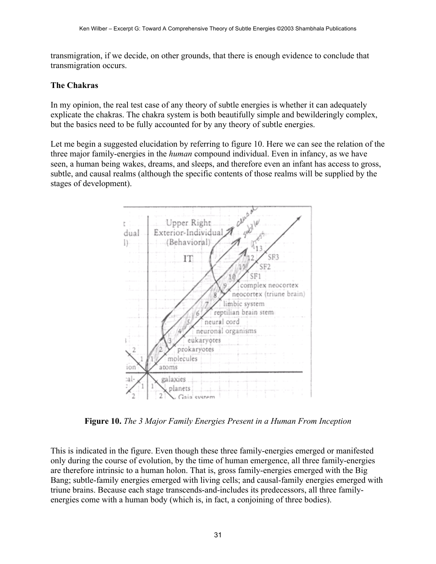transmigration, if we decide, on other grounds, that there is enough evidence to conclude that transmigration occurs.

#### **The Chakras**

In my opinion, the real test case of any theory of subtle energies is whether it can adequately explicate the chakras. The chakra system is both beautifully simple and bewilderingly complex, but the basics need to be fully accounted for by any theory of subtle energies.

Let me begin a suggested elucidation by referring to figure 10. Here we can see the relation of the three major family-energies in the *human* compound individual. Even in infancy, as we have seen, a human being wakes, dreams, and sleeps, and therefore even an infant has access to gross, subtle, and causal realms (although the specific contents of those realms will be supplied by the stages of development).



**Figure 10.** *The 3 Major Family Energies Present in a Human From Inception*

This is indicated in the figure. Even though these three family-energies emerged or manifested only during the course of evolution, by the time of human emergence, all three family-energies are therefore intrinsic to a human holon. That is, gross family-energies emerged with the Big Bang; subtle-family energies emerged with living cells; and causal-family energies emerged with triune brains. Because each stage transcends-and-includes its predecessors, all three familyenergies come with a human body (which is, in fact, a conjoining of three bodies).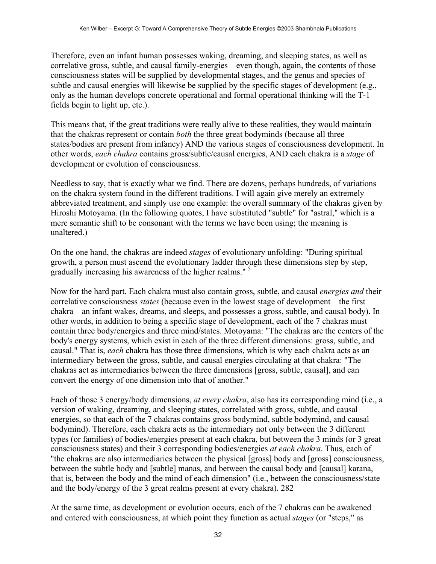Therefore, even an infant human possesses waking, dreaming, and sleeping states, as well as correlative gross, subtle, and causal family-energies—even though, again, the contents of those consciousness states will be supplied by developmental stages, and the genus and species of subtle and causal energies will likewise be supplied by the specific stages of development (e.g., only as the human develops concrete operational and formal operational thinking will the T-1 fields begin to light up, etc.).

This means that, if the great traditions were really alive to these realities, they would maintain that the chakras represent or contain *both* the three great bodyminds (because all three states/bodies are present from infancy) AND the various stages of consciousness development. In other words, *each chakra* contains gross/subtle/causal energies, AND each chakra is a *stage* of development or evolution of consciousness.

Needless to say, that is exactly what we find. There are dozens, perhaps hundreds, of variations on the chakra system found in the different traditions. I will again give merely an extremely abbreviated treatment, and simply use one example: the overall summary of the chakras given by Hiroshi Motoyama. (In the following quotes, I have substituted "subtle" for "astral," which is a mere semantic shift to be consonant with the terms we have been using; the meaning is unaltered.)

On the one hand, the chakras are indeed *stages* of evolutionary unfolding: "During spiritual growth, a person must ascend the evolutionary ladder through these dimensions step by step, gradually increasing his awareness of the higher realms." 5

Now for the hard part. Each chakra must also contain gross, subtle, and causal *energies and* their correlative consciousness *states* (because even in the lowest stage of development—the first chakra—an infant wakes, dreams, and sleeps, and possesses a gross, subtle, and causal body). In other words, in addition to being a specific stage of development, each of the 7 chakras must contain three body/energies and three mind/states. Motoyama: "The chakras are the centers of the body's energy systems, which exist in each of the three different dimensions: gross, subtle, and causal." That is, *each* chakra has those three dimensions, which is why each chakra acts as an intermediary between the gross, subtle, and causal energies circulating at that chakra: "The chakras act as intermediaries between the three dimensions [gross, subtle, causal], and can convert the energy of one dimension into that of another."

Each of those 3 energy/body dimensions, *at every chakra*, also has its corresponding mind (i.e., a version of waking, dreaming, and sleeping states, correlated with gross, subtle, and causal energies, so that each of the 7 chakras contains gross bodymind, subtle bodymind, and causal bodymind). Therefore, each chakra acts as the intermediary not only between the 3 different types (or families) of bodies/energies present at each chakra, but between the 3 minds (or 3 great consciousness states) and their 3 corresponding bodies/energies *at each chakra*. Thus, each of "the chakras are also intermediaries between the physical [gross] body and [gross] consciousness, between the subtle body and [subtle] manas, and between the causal body and [causal] karana, that is, between the body and the mind of each dimension" (i.e., between the consciousness/state and the body/energy of the 3 great realms present at every chakra). 282

At the same time, as development or evolution occurs, each of the 7 chakras can be awakened and entered with consciousness, at which point they function as actual *stages* (or "steps," as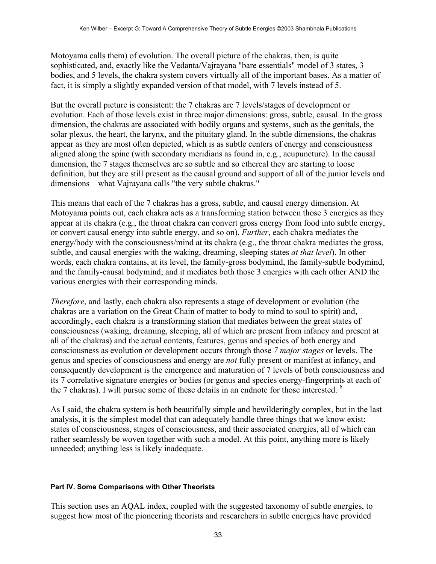Motoyama calls them) of evolution. The overall picture of the chakras, then, is quite sophisticated, and, exactly like the Vedanta/Vajrayana "bare essentials" model of 3 states, 3 bodies, and 5 levels, the chakra system covers virtually all of the important bases. As a matter of fact, it is simply a slightly expanded version of that model, with 7 levels instead of 5.

But the overall picture is consistent: the 7 chakras are 7 levels/stages of development or evolution. Each of those levels exist in three major dimensions: gross, subtle, causal. In the gross dimension, the chakras are associated with bodily organs and systems, such as the genitals, the solar plexus, the heart, the larynx, and the pituitary gland. In the subtle dimensions, the chakras appear as they are most often depicted, which is as subtle centers of energy and consciousness aligned along the spine (with secondary meridians as found in, e.g., acupuncture). In the causal dimension, the 7 stages themselves are so subtle and so ethereal they are starting to loose definition, but they are still present as the causal ground and support of all of the junior levels and dimensions—what Vajrayana calls "the very subtle chakras."

This means that each of the 7 chakras has a gross, subtle, and causal energy dimension. At Motoyama points out, each chakra acts as a transforming station between those 3 energies as they appear at its chakra (e.g., the throat chakra can convert gross energy from food into subtle energy, or convert causal energy into subtle energy, and so on). *Further*, each chakra mediates the energy/body with the consciousness/mind at its chakra (e.g., the throat chakra mediates the gross, subtle, and causal energies with the waking, dreaming, sleeping states *at that level*). In other words, each chakra contains, at its level, the family-gross bodymind, the family-subtle bodymind, and the family-causal bodymind; and it mediates both those 3 energies with each other AND the various energies with their corresponding minds.

*Therefore*, and lastly, each chakra also represents a stage of development or evolution (the chakras are a variation on the Great Chain of matter to body to mind to soul to spirit) and, accordingly, each chakra is a transforming station that mediates between the great states of consciousness (waking, dreaming, sleeping, all of which are present from infancy and present at all of the chakras) and the actual contents, features, genus and species of both energy and consciousness as evolution or development occurs through those *7 major stages* or levels. The genus and species of consciousness and energy are *not* fully present or manifest at infancy, and consequently development is the emergence and maturation of 7 levels of both consciousness and its 7 correlative signature energies or bodies (or genus and species energy-fingerprints at each of the 7 chakras). I will pursue some of these details in an endnote for those interested.  $\delta$ 

As I said, the chakra system is both beautifully simple and bewilderingly complex, but in the last analysis, it is the simplest model that can adequately handle three things that we know exist: states of consciousness, stages of consciousness, and their associated energies, all of which can rather seamlessly be woven together with such a model. At this point, anything more is likely unneeded; anything less is likely inadequate.

### **Part IV. Some Comparisons with Other Theorists**

This section uses an AQAL index, coupled with the suggested taxonomy of subtle energies, to suggest how most of the pioneering theorists and researchers in subtle energies have provided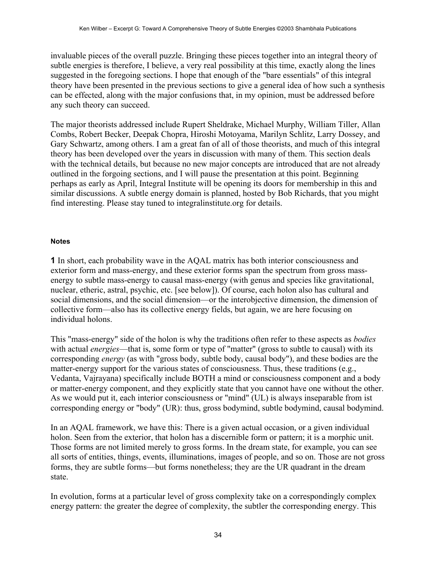invaluable pieces of the overall puzzle. Bringing these pieces together into an integral theory of subtle energies is therefore, I believe, a very real possibility at this time, exactly along the lines suggested in the foregoing sections. I hope that enough of the "bare essentials" of this integral theory have been presented in the previous sections to give a general idea of how such a synthesis can be effected, along with the major confusions that, in my opinion, must be addressed before any such theory can succeed.

The major theorists addressed include Rupert Sheldrake, Michael Murphy, William Tiller, Allan Combs, Robert Becker, Deepak Chopra, Hiroshi Motoyama, Marilyn Schlitz, Larry Dossey, and Gary Schwartz, among others. I am a great fan of all of those theorists, and much of this integral theory has been developed over the years in discussion with many of them. This section deals with the technical details, but because no new major concepts are introduced that are not already outlined in the forgoing sections, and I will pause the presentation at this point. Beginning perhaps as early as April, Integral Institute will be opening its doors for membership in this and similar discussions. A subtle energy domain is planned, hosted by Bob Richards, that you might find interesting. Please stay tuned to integralinstitute.org for details.

#### **Notes**

**1** In short, each probability wave in the AQAL matrix has both interior consciousness and exterior form and mass-energy, and these exterior forms span the spectrum from gross massenergy to subtle mass-energy to causal mass-energy (with genus and species like gravitational, nuclear, etheric, astral, psychic, etc. [see below]). Of course, each holon also has cultural and social dimensions, and the social dimension—or the interobjective dimension, the dimension of collective form—also has its collective energy fields, but again, we are here focusing on individual holons.

This "mass-energy" side of the holon is why the traditions often refer to these aspects as *bodies*  with actual *energies*—that is, some form or type of "matter" (gross to subtle to causal) with its corresponding *energy* (as with "gross body, subtle body, causal body"), and these bodies are the matter-energy support for the various states of consciousness. Thus, these traditions (e.g., Vedanta, Vajrayana) specifically include BOTH a mind or consciousness component and a body or matter-energy component, and they explicitly state that you cannot have one without the other. As we would put it, each interior consciousness or "mind" (UL) is always inseparable from ist corresponding energy or "body" (UR): thus, gross bodymind, subtle bodymind, causal bodymind.

In an AQAL framework, we have this: There is a given actual occasion, or a given individual holon. Seen from the exterior, that holon has a discernible form or pattern; it is a morphic unit. Those forms are not limited merely to gross forms. In the dream state, for example, you can see all sorts of entities, things, events, illuminations, images of people, and so on. Those are not gross forms, they are subtle forms—but forms nonetheless; they are the UR quadrant in the dream state.

In evolution, forms at a particular level of gross complexity take on a correspondingly complex energy pattern: the greater the degree of complexity, the subtler the corresponding energy. This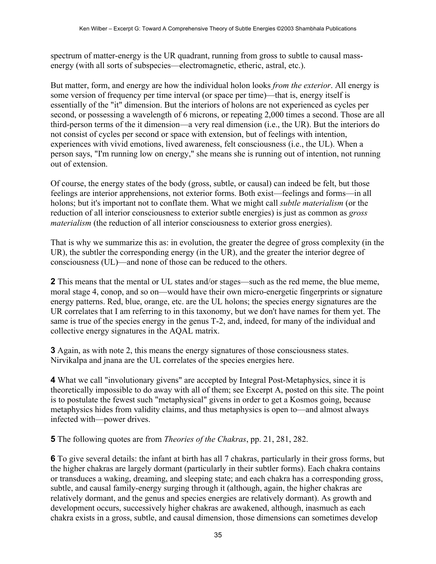spectrum of matter-energy is the UR quadrant, running from gross to subtle to causal massenergy (with all sorts of subspecies—electromagnetic, etheric, astral, etc.).

But matter, form, and energy are how the individual holon looks *from the exterior*. All energy is some version of frequency per time interval (or space per time)—that is, energy itself is essentially of the "it" dimension. But the interiors of holons are not experienced as cycles per second, or possessing a wavelength of 6 microns, or repeating 2,000 times a second. Those are all third-person terms of the it dimension—a very real dimension (i.e., the UR). But the interiors do not consist of cycles per second or space with extension, but of feelings with intention, experiences with vivid emotions, lived awareness, felt consciousness (i.e., the UL). When a person says, "I'm running low on energy," she means she is running out of intention, not running out of extension.

Of course, the energy states of the body (gross, subtle, or causal) can indeed be felt, but those feelings are interior apprehensions, not exterior forms. Both exist—feelings and forms—in all holons; but it's important not to conflate them. What we might call *subtle materialism* (or the reduction of all interior consciousness to exterior subtle energies) is just as common as *gross materialism* (the reduction of all interior consciousness to exterior gross energies).

That is why we summarize this as: in evolution, the greater the degree of gross complexity (in the UR), the subtler the corresponding energy (in the UR), and the greater the interior degree of consciousness (UL)—and none of those can be reduced to the others.

**2** This means that the mental or UL states and/or stages—such as the red meme, the blue meme, moral stage 4, conop, and so on—would have their own micro-energetic fingerprints or signature energy patterns. Red, blue, orange, etc. are the UL holons; the species energy signatures are the UR correlates that I am referring to in this taxonomy, but we don't have names for them yet. The same is true of the species energy in the genus T-2, and, indeed, for many of the individual and collective energy signatures in the AQAL matrix.

**3** Again, as with note 2, this means the energy signatures of those consciousness states. Nirvikalpa and jnana are the UL correlates of the species energies here.

**4** What we call "involutionary givens" are accepted by Integral Post-Metaphysics, since it is theoretically impossible to do away with all of them; see Excerpt A, posted on this site. The point is to postulate the fewest such "metaphysical" givens in order to get a Kosmos going, because metaphysics hides from validity claims, and thus metaphysics is open to—and almost always infected with—power drives.

**5** The following quotes are from *Theories of the Chakras*, pp. 21, 281, 282.

**6** To give several details: the infant at birth has all 7 chakras, particularly in their gross forms, but the higher chakras are largely dormant (particularly in their subtler forms). Each chakra contains or transduces a waking, dreaming, and sleeping state; and each chakra has a corresponding gross, subtle, and causal family-energy surging through it (although, again, the higher chakras are relatively dormant, and the genus and species energies are relatively dormant). As growth and development occurs, successively higher chakras are awakened, although, inasmuch as each chakra exists in a gross, subtle, and causal dimension, those dimensions can sometimes develop